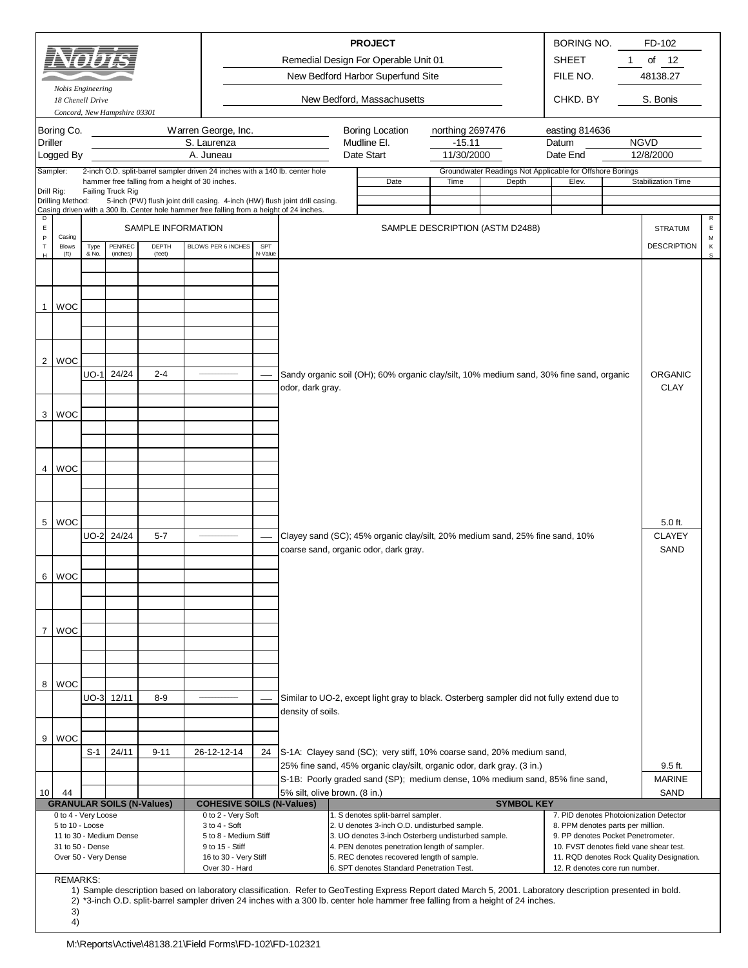|                       |                                                                                                                                          |               |                              |                    |                                                                                           |                |                   |  | <b>PROJECT</b><br>Remedial Design For Operable Unit 01                                                                                                      |                                 |  |       | BORING NO.<br><b>SHEET</b>                                              | 1. | FD-102<br>of<br>- 12                      |                                  |
|-----------------------|------------------------------------------------------------------------------------------------------------------------------------------|---------------|------------------------------|--------------------|-------------------------------------------------------------------------------------------|----------------|-------------------|--|-------------------------------------------------------------------------------------------------------------------------------------------------------------|---------------------------------|--|-------|-------------------------------------------------------------------------|----|-------------------------------------------|----------------------------------|
|                       | Nobis Engineering                                                                                                                        |               |                              |                    |                                                                                           |                |                   |  | New Bedford Harbor Superfund Site                                                                                                                           |                                 |  |       | FILE NO.                                                                |    | 48138.27                                  |                                  |
|                       | 18 Chenell Drive                                                                                                                         |               | Concord, New Hampshire 03301 |                    |                                                                                           |                |                   |  | New Bedford, Massachusetts                                                                                                                                  |                                 |  |       | CHKD, BY                                                                |    | S. Bonis                                  |                                  |
|                       | Boring Co.                                                                                                                               |               |                              |                    | Warren George, Inc.                                                                       |                |                   |  | Boring Location                                                                                                                                             | northing 2697476                |  |       | easting 814636                                                          |    |                                           |                                  |
| <b>Driller</b>        |                                                                                                                                          |               |                              |                    | S. Laurenza                                                                               |                |                   |  | Mudline El.<br>Date Start                                                                                                                                   | $-15.11$<br>11/30/2000          |  |       | Datum                                                                   |    | <b>NGVD</b>                               |                                  |
| Sampler:              | Logged By                                                                                                                                |               |                              |                    | A. Juneau<br>2-inch O.D. split-barrel sampler driven 24 inches with a 140 lb. center hole |                |                   |  |                                                                                                                                                             |                                 |  |       | Date End<br>Groundwater Readings Not Applicable for Offshore Borings    |    | 12/8/2000                                 |                                  |
|                       |                                                                                                                                          |               |                              |                    | hammer free falling from a height of 30 inches.                                           |                |                   |  | Date                                                                                                                                                        | Time                            |  | Depth | Elev.                                                                   |    | Stabilization Time                        |                                  |
| Drill Rig:            | Drilling Method:                                                                                                                         |               | Failing Truck Rig            |                    | 5-inch (PW) flush joint drill casing. 4-inch (HW) flush joint drill casing.               |                |                   |  |                                                                                                                                                             |                                 |  |       |                                                                         |    |                                           |                                  |
| D<br>$\mathsf E$<br>P | Casing                                                                                                                                   |               |                              | SAMPLE INFORMATION | Casing driven with a 300 lb. Center hole hammer free falling from a height of 24 inches.  |                |                   |  |                                                                                                                                                             | SAMPLE DESCRIPTION (ASTM D2488) |  |       |                                                                         |    | <b>STRATUM</b>                            | $\mathsf{R}$<br>$\mathsf E$<br>М |
| $\top$<br>$\mathbb H$ | <b>Blows</b><br>(f <sup>t</sup> )                                                                                                        | Type<br>& No. | PEN/REC<br>(inches)          | DEPTH<br>(feet)    | BLOWS PER 6 INCHES                                                                        | SPT<br>N-Value |                   |  |                                                                                                                                                             |                                 |  |       |                                                                         |    | <b>DESCRIPTION</b>                        | κ<br>$\mathsf{s}$                |
|                       |                                                                                                                                          |               |                              |                    |                                                                                           |                |                   |  |                                                                                                                                                             |                                 |  |       |                                                                         |    |                                           |                                  |
|                       |                                                                                                                                          |               |                              |                    |                                                                                           |                |                   |  |                                                                                                                                                             |                                 |  |       |                                                                         |    |                                           |                                  |
| 1                     | <b>WOC</b>                                                                                                                               |               |                              |                    |                                                                                           |                |                   |  |                                                                                                                                                             |                                 |  |       |                                                                         |    |                                           |                                  |
|                       |                                                                                                                                          |               |                              |                    |                                                                                           |                |                   |  |                                                                                                                                                             |                                 |  |       |                                                                         |    |                                           |                                  |
|                       |                                                                                                                                          |               |                              |                    |                                                                                           |                |                   |  |                                                                                                                                                             |                                 |  |       |                                                                         |    |                                           |                                  |
| $\overline{2}$        | <b>WOC</b>                                                                                                                               |               |                              |                    |                                                                                           |                |                   |  |                                                                                                                                                             |                                 |  |       |                                                                         |    |                                           |                                  |
|                       |                                                                                                                                          | $UO-1$        | 24/24                        | $2 - 4$            |                                                                                           |                |                   |  | Sandy organic soil (OH); 60% organic clay/silt, 10% medium sand, 30% fine sand, organic                                                                     |                                 |  |       |                                                                         |    | <b>ORGANIC</b>                            |                                  |
|                       |                                                                                                                                          |               |                              |                    |                                                                                           |                | odor, dark gray.  |  |                                                                                                                                                             |                                 |  |       |                                                                         |    | <b>CLAY</b>                               |                                  |
| 3                     | <b>WOC</b>                                                                                                                               |               |                              |                    |                                                                                           |                |                   |  |                                                                                                                                                             |                                 |  |       |                                                                         |    |                                           |                                  |
|                       |                                                                                                                                          |               |                              |                    |                                                                                           |                |                   |  |                                                                                                                                                             |                                 |  |       |                                                                         |    |                                           |                                  |
|                       |                                                                                                                                          |               |                              |                    |                                                                                           |                |                   |  |                                                                                                                                                             |                                 |  |       |                                                                         |    |                                           |                                  |
| 4                     | <b>WOC</b>                                                                                                                               |               |                              |                    |                                                                                           |                |                   |  |                                                                                                                                                             |                                 |  |       |                                                                         |    |                                           |                                  |
|                       |                                                                                                                                          |               |                              |                    |                                                                                           |                |                   |  |                                                                                                                                                             |                                 |  |       |                                                                         |    |                                           |                                  |
|                       |                                                                                                                                          |               |                              |                    |                                                                                           |                |                   |  |                                                                                                                                                             |                                 |  |       |                                                                         |    |                                           |                                  |
| 5                     | <b>WOC</b>                                                                                                                               |               |                              |                    |                                                                                           |                |                   |  |                                                                                                                                                             |                                 |  |       |                                                                         |    | $5.0$ ft.                                 |                                  |
|                       |                                                                                                                                          | <b>UO-2</b>   | 24/24                        | $5 - 7$            |                                                                                           |                |                   |  | Clayey sand (SC); 45% organic clay/silt, 20% medium sand, 25% fine sand, 10%                                                                                |                                 |  |       |                                                                         |    | <b>CLAYEY</b>                             |                                  |
|                       |                                                                                                                                          |               |                              |                    |                                                                                           |                |                   |  | coarse sand, organic odor, dark gray.                                                                                                                       |                                 |  |       |                                                                         |    | <b>SAND</b>                               |                                  |
|                       | 6 WOC                                                                                                                                    |               |                              |                    |                                                                                           |                |                   |  |                                                                                                                                                             |                                 |  |       |                                                                         |    |                                           |                                  |
|                       |                                                                                                                                          |               |                              |                    |                                                                                           |                |                   |  |                                                                                                                                                             |                                 |  |       |                                                                         |    |                                           |                                  |
|                       |                                                                                                                                          |               |                              |                    |                                                                                           |                |                   |  |                                                                                                                                                             |                                 |  |       |                                                                         |    |                                           |                                  |
| $\overline{7}$        | <b>WOC</b>                                                                                                                               |               |                              |                    |                                                                                           |                |                   |  |                                                                                                                                                             |                                 |  |       |                                                                         |    |                                           |                                  |
|                       |                                                                                                                                          |               |                              |                    |                                                                                           |                |                   |  |                                                                                                                                                             |                                 |  |       |                                                                         |    |                                           |                                  |
|                       |                                                                                                                                          |               |                              |                    |                                                                                           |                |                   |  |                                                                                                                                                             |                                 |  |       |                                                                         |    |                                           |                                  |
| 8                     | <b>WOC</b>                                                                                                                               |               |                              |                    |                                                                                           |                |                   |  |                                                                                                                                                             |                                 |  |       |                                                                         |    |                                           |                                  |
|                       |                                                                                                                                          |               | UO-3 12/11                   | $8 - 9$            |                                                                                           |                | density of soils. |  | Similar to UO-2, except light gray to black. Osterberg sampler did not fully extend due to                                                                  |                                 |  |       |                                                                         |    |                                           |                                  |
|                       |                                                                                                                                          |               |                              |                    |                                                                                           |                |                   |  |                                                                                                                                                             |                                 |  |       |                                                                         |    |                                           |                                  |
| 9                     | <b>WOC</b>                                                                                                                               |               |                              |                    |                                                                                           |                |                   |  |                                                                                                                                                             |                                 |  |       |                                                                         |    |                                           |                                  |
|                       |                                                                                                                                          | S-1           | 24/11                        | $9 - 11$           | 26-12-12-14                                                                               | 24             |                   |  | S-1A: Clayey sand (SC); very stiff, 10% coarse sand, 20% medium sand,<br>25% fine sand, 45% organic clay/silt, organic odor, dark gray. (3 in.)             |                                 |  |       |                                                                         |    | $9.5$ ft.                                 |                                  |
|                       |                                                                                                                                          |               |                              |                    |                                                                                           |                |                   |  | S-1B: Poorly graded sand (SP); medium dense, 10% medium sand, 85% fine sand,                                                                                |                                 |  |       |                                                                         |    | <b>MARINE</b>                             |                                  |
| 10                    | SAND<br>44<br>5% silt, olive brown. (8 in.)<br><b>GRANULAR SOILS (N-Values)</b><br><b>COHESIVE SOILS (N-Values)</b><br><b>SYMBOL KEY</b> |               |                              |                    |                                                                                           |                |                   |  |                                                                                                                                                             |                                 |  |       |                                                                         |    |                                           |                                  |
|                       | 0 to 4 - Very Loose                                                                                                                      |               |                              |                    | 0 to 2 - Very Soft                                                                        |                |                   |  | 1. S denotes split-barrel sampler.                                                                                                                          |                                 |  |       | 7. PID denotes Photoionization Detector                                 |    |                                           |                                  |
|                       | 5 to 10 - Loose                                                                                                                          |               | 11 to 30 - Medium Dense      |                    | 3 to 4 - Soft<br>5 to 8 - Medium Stiff                                                    |                |                   |  | 2. U denotes 3-inch O.D. undisturbed sample.<br>3. UO denotes 3-inch Osterberg undisturbed sample.                                                          |                                 |  |       | 8. PPM denotes parts per million.<br>9. PP denotes Pocket Penetrometer. |    |                                           |                                  |
|                       | 31 to 50 - Dense<br>Over 50 - Very Dense                                                                                                 |               |                              |                    | 9 to 15 - Stiff<br>16 to 30 - Very Stiff                                                  |                |                   |  | 4. PEN denotes penetration length of sampler.<br>5. REC denotes recovered length of sample.                                                                 |                                 |  |       | 10. FVST denotes field vane shear test.                                 |    | 11. RQD denotes Rock Quality Designation. |                                  |
|                       |                                                                                                                                          |               |                              |                    | Over 30 - Hard                                                                            |                |                   |  | 6. SPT denotes Standard Penetration Test.                                                                                                                   |                                 |  |       | 12. R denotes core run number.                                          |    |                                           |                                  |
|                       | <b>REMARKS:</b>                                                                                                                          |               |                              |                    |                                                                                           |                |                   |  | 1) Sample description based on laboratory classification. Refer to GeoTesting Express Report dated March 5, 2001. Laboratory description presented in bold. |                                 |  |       |                                                                         |    |                                           |                                  |
|                       | 3)                                                                                                                                       |               |                              |                    |                                                                                           |                |                   |  | 2) *3-inch O.D. split-barrel sampler driven 24 inches with a 300 lb. center hole hammer free falling from a height of 24 inches.                            |                                 |  |       |                                                                         |    |                                           |                                  |
|                       | 4)                                                                                                                                       |               |                              |                    |                                                                                           |                |                   |  |                                                                                                                                                             |                                 |  |       |                                                                         |    |                                           |                                  |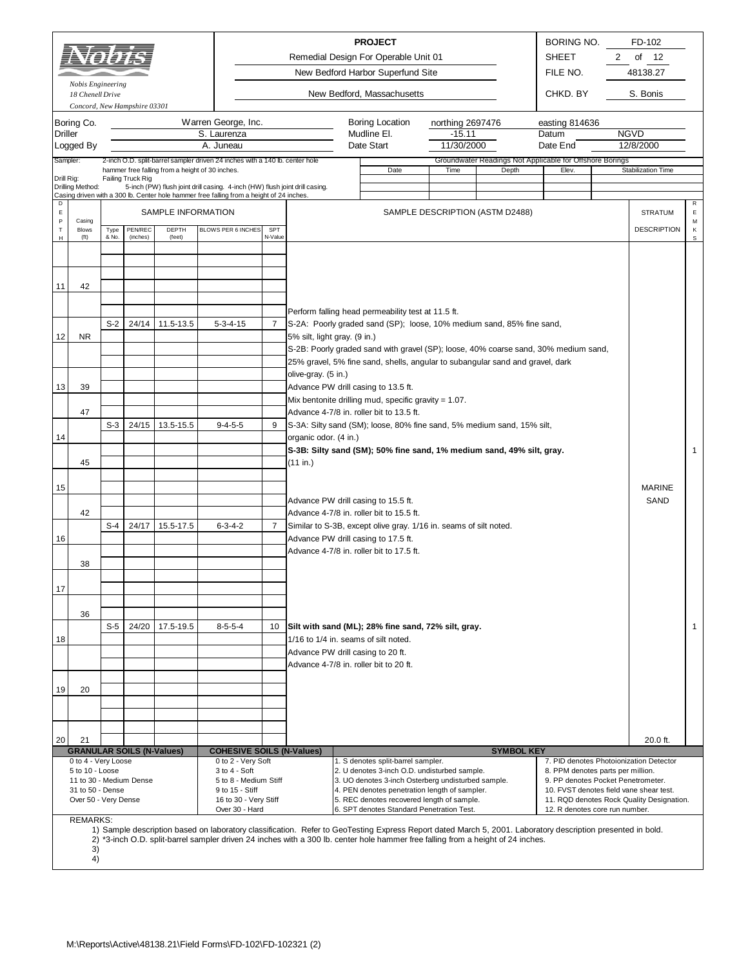|                                                                                                                                                                                                                                                                                                                                                                                                                                                                                                                                                                                                                                                       |                                       | 'I SJ SJ I    |                              |                                                 |                                                                                          |                    |                                                                             |  | <b>PROJECT</b><br>Remedial Design For Operable Unit 01<br>New Bedford Harbor Superfund Site                                                                                                                                                                                                     |                                            |                                                                   |       | <b>BORING NO.</b><br><b>SHEET</b><br>FILE NO. | 2 | FD-102<br>of<br>12<br>48138.27          |              |
|-------------------------------------------------------------------------------------------------------------------------------------------------------------------------------------------------------------------------------------------------------------------------------------------------------------------------------------------------------------------------------------------------------------------------------------------------------------------------------------------------------------------------------------------------------------------------------------------------------------------------------------------------------|---------------------------------------|---------------|------------------------------|-------------------------------------------------|------------------------------------------------------------------------------------------|--------------------|-----------------------------------------------------------------------------|--|-------------------------------------------------------------------------------------------------------------------------------------------------------------------------------------------------------------------------------------------------------------------------------------------------|--------------------------------------------|-------------------------------------------------------------------|-------|-----------------------------------------------|---|-----------------------------------------|--------------|
|                                                                                                                                                                                                                                                                                                                                                                                                                                                                                                                                                                                                                                                       | Nobis Engineering<br>18 Chenell Drive |               | Concord, New Hampshire 03301 |                                                 |                                                                                          |                    |                                                                             |  | New Bedford, Massachusetts                                                                                                                                                                                                                                                                      |                                            |                                                                   |       | CHKD, BY                                      |   | S. Bonis                                |              |
| Driller                                                                                                                                                                                                                                                                                                                                                                                                                                                                                                                                                                                                                                               | Boring Co.<br>Logged By               |               |                              |                                                 | Warren George, Inc.<br>S. Laurenza<br>A. Juneau                                          |                    |                                                                             |  | Boring Location<br>Mudline El.<br>Date Start                                                                                                                                                                                                                                                    | northing 2697476<br>$-15.11$<br>11/30/2000 |                                                                   | Datum | easting 814636<br>Date End                    |   | <b>NGVD</b><br>12/8/2000                |              |
| Sampler:<br>Drill Rig:                                                                                                                                                                                                                                                                                                                                                                                                                                                                                                                                                                                                                                |                                       |               | Failing Truck Rig            | hammer free falling from a height of 30 inches. | 2-inch O.D. split-barrel sampler driven 24 inches with a 140 lb. center hole             |                    |                                                                             |  | Date                                                                                                                                                                                                                                                                                            | Time                                       | Groundwater Readings Not Applicable for Offshore Borings<br>Depth |       | Elev.                                         |   | Stabilization Time                      |              |
|                                                                                                                                                                                                                                                                                                                                                                                                                                                                                                                                                                                                                                                       | Drilling Method:                      |               |                              |                                                 | Casing driven with a 300 lb. Center hole hammer free falling from a height of 24 inches. |                    | 5-inch (PW) flush joint drill casing. 4-inch (HW) flush joint drill casing. |  |                                                                                                                                                                                                                                                                                                 |                                            |                                                                   |       |                                               |   |                                         |              |
| D<br>Ε<br>P                                                                                                                                                                                                                                                                                                                                                                                                                                                                                                                                                                                                                                           | Casing                                |               |                              | SAMPLE INFORMATION                              |                                                                                          |                    |                                                                             |  |                                                                                                                                                                                                                                                                                                 |                                            | SAMPLE DESCRIPTION (ASTM D2488)                                   |       |                                               |   | <b>STRATUM</b>                          | R<br>E.<br>М |
| T<br>н                                                                                                                                                                                                                                                                                                                                                                                                                                                                                                                                                                                                                                                | <b>Blows</b><br>(tt)                  | Type<br>& No. | <b>PEN/REC</b><br>(inches)   | DEPTH<br>(feet)                                 | BLOWS PER 6 INCHES                                                                       | SPT<br>N-Value     |                                                                             |  |                                                                                                                                                                                                                                                                                                 |                                            |                                                                   |       |                                               |   | <b>DESCRIPTION</b>                      | Κ<br>s       |
|                                                                                                                                                                                                                                                                                                                                                                                                                                                                                                                                                                                                                                                       |                                       |               |                              |                                                 |                                                                                          |                    |                                                                             |  |                                                                                                                                                                                                                                                                                                 |                                            |                                                                   |       |                                               |   |                                         |              |
|                                                                                                                                                                                                                                                                                                                                                                                                                                                                                                                                                                                                                                                       |                                       |               |                              |                                                 |                                                                                          |                    |                                                                             |  |                                                                                                                                                                                                                                                                                                 |                                            |                                                                   |       |                                               |   |                                         |              |
| 11                                                                                                                                                                                                                                                                                                                                                                                                                                                                                                                                                                                                                                                    | 42                                    |               |                              |                                                 |                                                                                          |                    |                                                                             |  |                                                                                                                                                                                                                                                                                                 |                                            |                                                                   |       |                                               |   |                                         |              |
|                                                                                                                                                                                                                                                                                                                                                                                                                                                                                                                                                                                                                                                       |                                       | $S-2$         | 24/14                        | 11.5-13.5                                       | $5 - 3 - 4 - 15$                                                                         | 7                  |                                                                             |  | Perform falling head permeability test at 11.5 ft.<br>S-2A: Poorly graded sand (SP); loose, 10% medium sand, 85% fine sand,                                                                                                                                                                     |                                            |                                                                   |       |                                               |   |                                         |              |
| 12                                                                                                                                                                                                                                                                                                                                                                                                                                                                                                                                                                                                                                                    | NR.                                   |               |                              |                                                 |                                                                                          |                    | 5% silt, light gray. (9 in.)                                                |  |                                                                                                                                                                                                                                                                                                 |                                            |                                                                   |       |                                               |   |                                         |              |
|                                                                                                                                                                                                                                                                                                                                                                                                                                                                                                                                                                                                                                                       |                                       |               |                              |                                                 |                                                                                          |                    |                                                                             |  | S-2B: Poorly graded sand with gravel (SP); loose, 40% coarse sand, 30% medium sand,<br>25% gravel, 5% fine sand, shells, angular to subangular sand and gravel, dark                                                                                                                            |                                            |                                                                   |       |                                               |   |                                         |              |
| 13                                                                                                                                                                                                                                                                                                                                                                                                                                                                                                                                                                                                                                                    | 39                                    |               |                              |                                                 |                                                                                          |                    | olive-gray. (5 in.)                                                         |  | Advance PW drill casing to 13.5 ft.                                                                                                                                                                                                                                                             |                                            |                                                                   |       |                                               |   |                                         |              |
|                                                                                                                                                                                                                                                                                                                                                                                                                                                                                                                                                                                                                                                       |                                       |               |                              |                                                 |                                                                                          |                    |                                                                             |  | Mix bentonite drilling mud, specific gravity = $1.07$ .                                                                                                                                                                                                                                         |                                            |                                                                   |       |                                               |   |                                         |              |
|                                                                                                                                                                                                                                                                                                                                                                                                                                                                                                                                                                                                                                                       | 47                                    | $S-3$         | 24/15                        | 13.5-15.5                                       | $9 - 4 - 5 - 5$                                                                          | 9                  |                                                                             |  | Advance 4-7/8 in. roller bit to 13.5 ft.<br>S-3A: Silty sand (SM); loose, 80% fine sand, 5% medium sand, 15% silt,                                                                                                                                                                              |                                            |                                                                   |       |                                               |   |                                         |              |
| 14                                                                                                                                                                                                                                                                                                                                                                                                                                                                                                                                                                                                                                                    |                                       |               |                              |                                                 |                                                                                          |                    | organic odor. (4 in.)                                                       |  |                                                                                                                                                                                                                                                                                                 |                                            |                                                                   |       |                                               |   |                                         |              |
|                                                                                                                                                                                                                                                                                                                                                                                                                                                                                                                                                                                                                                                       | 45                                    |               |                              |                                                 |                                                                                          |                    | (11 in.)                                                                    |  | S-3B: Silty sand (SM); 50% fine sand, 1% medium sand, 49% silt, gray.                                                                                                                                                                                                                           |                                            |                                                                   |       |                                               |   |                                         | $\mathbf{1}$ |
|                                                                                                                                                                                                                                                                                                                                                                                                                                                                                                                                                                                                                                                       |                                       |               |                              |                                                 |                                                                                          |                    |                                                                             |  |                                                                                                                                                                                                                                                                                                 |                                            |                                                                   |       |                                               |   |                                         |              |
| 15                                                                                                                                                                                                                                                                                                                                                                                                                                                                                                                                                                                                                                                    |                                       |               |                              |                                                 |                                                                                          |                    |                                                                             |  | Advance PW drill casing to 15.5 ft.                                                                                                                                                                                                                                                             |                                            |                                                                   |       |                                               |   | <b>MARINE</b><br>SAND                   |              |
|                                                                                                                                                                                                                                                                                                                                                                                                                                                                                                                                                                                                                                                       | 42                                    | S-4           | 24/17                        | 15.5-17.5                                       | $6 - 3 - 4 - 2$                                                                          | $\overline{7}$     |                                                                             |  | Advance 4-7/8 in. roller bit to 15.5 ft.                                                                                                                                                                                                                                                        |                                            |                                                                   |       |                                               |   |                                         |              |
| 16                                                                                                                                                                                                                                                                                                                                                                                                                                                                                                                                                                                                                                                    |                                       |               |                              |                                                 |                                                                                          |                    |                                                                             |  | Similar to S-3B, except olive gray. 1/16 in. seams of silt noted.<br>Advance PW drill casing to 17.5 ft.                                                                                                                                                                                        |                                            |                                                                   |       |                                               |   |                                         |              |
|                                                                                                                                                                                                                                                                                                                                                                                                                                                                                                                                                                                                                                                       | 38                                    |               |                              |                                                 |                                                                                          |                    |                                                                             |  | Advance 4-7/8 in. roller bit to 17.5 ft.                                                                                                                                                                                                                                                        |                                            |                                                                   |       |                                               |   |                                         |              |
|                                                                                                                                                                                                                                                                                                                                                                                                                                                                                                                                                                                                                                                       |                                       |               |                              |                                                 |                                                                                          |                    |                                                                             |  |                                                                                                                                                                                                                                                                                                 |                                            |                                                                   |       |                                               |   |                                         |              |
| 17                                                                                                                                                                                                                                                                                                                                                                                                                                                                                                                                                                                                                                                    |                                       |               |                              |                                                 |                                                                                          |                    |                                                                             |  |                                                                                                                                                                                                                                                                                                 |                                            |                                                                   |       |                                               |   |                                         |              |
|                                                                                                                                                                                                                                                                                                                                                                                                                                                                                                                                                                                                                                                       | 36                                    |               |                              |                                                 |                                                                                          |                    |                                                                             |  |                                                                                                                                                                                                                                                                                                 |                                            |                                                                   |       |                                               |   |                                         |              |
| 18                                                                                                                                                                                                                                                                                                                                                                                                                                                                                                                                                                                                                                                    |                                       | $S-5$         | 24/20                        | 17.5-19.5                                       | $8 - 5 - 5 - 4$                                                                          |                    | 10                                                                          |  | Silt with sand (ML); 28% fine sand, 72% silt, gray.<br>1/16 to 1/4 in. seams of silt noted.                                                                                                                                                                                                     |                                            |                                                                   |       |                                               |   |                                         | $\mathbf{1}$ |
|                                                                                                                                                                                                                                                                                                                                                                                                                                                                                                                                                                                                                                                       |                                       |               |                              |                                                 |                                                                                          |                    |                                                                             |  | Advance PW drill casing to 20 ft.<br>Advance 4-7/8 in. roller bit to 20 ft.                                                                                                                                                                                                                     |                                            |                                                                   |       |                                               |   |                                         |              |
|                                                                                                                                                                                                                                                                                                                                                                                                                                                                                                                                                                                                                                                       |                                       |               |                              |                                                 |                                                                                          |                    |                                                                             |  |                                                                                                                                                                                                                                                                                                 |                                            |                                                                   |       |                                               |   |                                         |              |
| 19                                                                                                                                                                                                                                                                                                                                                                                                                                                                                                                                                                                                                                                    | 20                                    |               |                              |                                                 |                                                                                          |                    |                                                                             |  |                                                                                                                                                                                                                                                                                                 |                                            |                                                                   |       |                                               |   |                                         |              |
|                                                                                                                                                                                                                                                                                                                                                                                                                                                                                                                                                                                                                                                       |                                       |               |                              |                                                 |                                                                                          |                    |                                                                             |  |                                                                                                                                                                                                                                                                                                 |                                            |                                                                   |       |                                               |   |                                         |              |
| 20                                                                                                                                                                                                                                                                                                                                                                                                                                                                                                                                                                                                                                                    | 21                                    |               |                              |                                                 |                                                                                          |                    |                                                                             |  |                                                                                                                                                                                                                                                                                                 |                                            |                                                                   |       |                                               |   | 20.0 ft.                                |              |
|                                                                                                                                                                                                                                                                                                                                                                                                                                                                                                                                                                                                                                                       | 0 to 4 - Very Loose                   |               |                              | <b>GRANULAR SOILS (N-Values)</b>                |                                                                                          | 0 to 2 - Very Soft | <b>COHESIVE SOILS (N-Values)</b>                                            |  | 1. S denotes split-barrel sampler.                                                                                                                                                                                                                                                              |                                            | <b>SYMBOL KEY</b>                                                 |       |                                               |   | 7. PID denotes Photoionization Detector |              |
| 5 to 10 - Loose<br>3 to 4 - Soft<br>2. U denotes 3-inch O.D. undisturbed sample.<br>8. PPM denotes parts per million.<br>11 to 30 - Medium Dense<br>5 to 8 - Medium Stiff<br>3. UO denotes 3-inch Osterberg undisturbed sample.<br>9. PP denotes Pocket Penetrometer.<br>31 to 50 - Dense<br>9 to 15 - Stiff<br>4. PEN denotes penetration length of sampler.<br>10. FVST denotes field vane shear test.<br>Over 50 - Very Dense<br>16 to 30 - Very Stiff<br>5. REC denotes recovered length of sample.<br>11. RQD denotes Rock Quality Designation.<br>6. SPT denotes Standard Penetration Test.<br>Over 30 - Hard<br>12. R denotes core run number. |                                       |               |                              |                                                 |                                                                                          |                    |                                                                             |  |                                                                                                                                                                                                                                                                                                 |                                            |                                                                   |       |                                               |   |                                         |              |
|                                                                                                                                                                                                                                                                                                                                                                                                                                                                                                                                                                                                                                                       | <b>REMARKS:</b><br>3)<br>4)           |               |                              |                                                 |                                                                                          |                    |                                                                             |  | 1) Sample description based on laboratory classification. Refer to GeoTesting Express Report dated March 5, 2001. Laboratory description presented in bold.<br>2) *3-inch O.D. split-barrel sampler driven 24 inches with a 300 lb. center hole hammer free falling from a height of 24 inches. |                                            |                                                                   |       |                                               |   |                                         |              |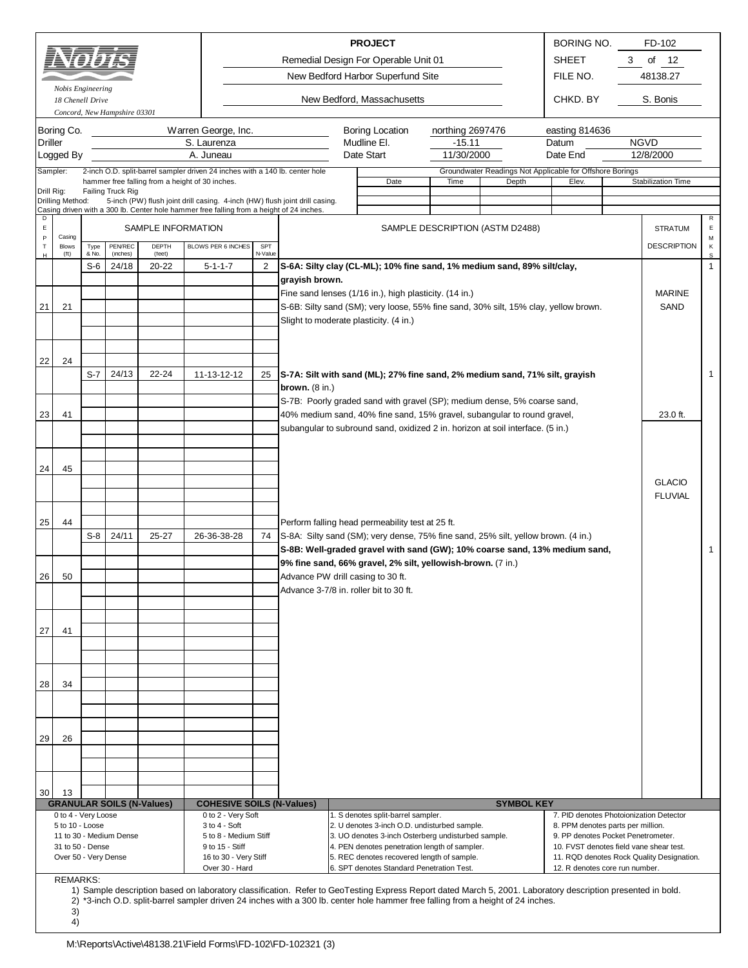*Concord, New Hampshire 03301*

*Nobis Engineering*

Remedial Design For Operable Unit 01 New Bedford Harbor Superfund Site

**PROJECT** BORING NO. SHEET 3 of 12 FILE NO. FD-102 48138.27

*18 Chenell Drive* CHKD. BY New Bedford, Massachusetts

S. Bonis

|                            | Boring Co.           |                                                                                |                         |                                  | Warren George, Inc.                                                                                                                                                     |         |                                   | <b>Boring Location</b>                                                                                                                                      | northing 2697476 |                                                          | easting 814636                          |  |                                           |              |
|----------------------------|----------------------|--------------------------------------------------------------------------------|-------------------------|----------------------------------|-------------------------------------------------------------------------------------------------------------------------------------------------------------------------|---------|-----------------------------------|-------------------------------------------------------------------------------------------------------------------------------------------------------------|------------------|----------------------------------------------------------|-----------------------------------------|--|-------------------------------------------|--------------|
| Driller                    |                      |                                                                                |                         |                                  | S. Laurenza                                                                                                                                                             |         |                                   | Mudline El.                                                                                                                                                 | $-15.11$         |                                                          | Datum                                   |  | <b>NGVD</b>                               |              |
|                            | Logged By            |                                                                                |                         |                                  | A. Juneau                                                                                                                                                               |         |                                   | Date Start                                                                                                                                                  | 11/30/2000       |                                                          | Date End                                |  | 12/8/2000                                 |              |
| Sampler:                   |                      |                                                                                |                         |                                  | 2-inch O.D. split-barrel sampler driven 24 inches with a 140 lb. center hole                                                                                            |         |                                   |                                                                                                                                                             |                  | Groundwater Readings Not Applicable for Offshore Borings |                                         |  |                                           |              |
|                            |                      |                                                                                |                         |                                  | hammer free falling from a height of 30 inches.                                                                                                                         |         |                                   | Date                                                                                                                                                        | Time             | Depth                                                    | Elev.                                   |  | Stabilization Time                        |              |
| Drill Rig:                 |                      |                                                                                | Failing Truck Rig       |                                  |                                                                                                                                                                         |         |                                   |                                                                                                                                                             |                  |                                                          |                                         |  |                                           |              |
|                            | Drilling Method:     |                                                                                |                         |                                  | 5-inch (PW) flush joint drill casing. 4-inch (HW) flush joint drill casing.<br>Casing driven with a 300 lb. Center hole hammer free falling from a height of 24 inches. |         |                                   |                                                                                                                                                             |                  |                                                          |                                         |  |                                           |              |
| D                          |                      |                                                                                |                         |                                  |                                                                                                                                                                         |         |                                   |                                                                                                                                                             |                  |                                                          |                                         |  |                                           | $\mathsf{R}$ |
| $\mathsf E$<br>$\mathsf P$ | Casing               |                                                                                |                         | SAMPLE INFORMATION               |                                                                                                                                                                         |         |                                   |                                                                                                                                                             |                  | SAMPLE DESCRIPTION (ASTM D2488)                          |                                         |  | <b>STRATUM</b>                            | E<br>М       |
| $\top$                     | <b>Blows</b>         | Type                                                                           | PEN/REC                 | DEPTH                            | BLOWS PER 6 INCHES                                                                                                                                                      | SPT     |                                   |                                                                                                                                                             |                  |                                                          |                                         |  | <b>DESCRIPTION</b>                        | κ            |
| н                          | $({\rm ft})$         | & No.                                                                          | (inches)                | (feet)                           |                                                                                                                                                                         | N-Value |                                   |                                                                                                                                                             |                  |                                                          |                                         |  |                                           | s            |
|                            |                      | $S-6$                                                                          | 24/18                   | 20-22                            | $5 - 1 - 1 - 7$                                                                                                                                                         | 2       |                                   | S-6A: Silty clay (CL-ML); 10% fine sand, 1% medium sand, 89% silt/clay,                                                                                     |                  |                                                          |                                         |  |                                           | $\mathbf{1}$ |
|                            |                      |                                                                                |                         |                                  |                                                                                                                                                                         |         | grayish brown.                    |                                                                                                                                                             |                  |                                                          |                                         |  |                                           |              |
|                            |                      |                                                                                |                         |                                  |                                                                                                                                                                         |         |                                   | Fine sand lenses (1/16 in.), high plasticity. (14 in.)                                                                                                      |                  |                                                          |                                         |  | <b>MARINE</b>                             |              |
| 21                         | 21                   |                                                                                |                         |                                  |                                                                                                                                                                         |         |                                   | S-6B: Silty sand (SM); very loose, 55% fine sand, 30% silt, 15% clay, yellow brown.                                                                         |                  |                                                          |                                         |  | SAND                                      |              |
|                            |                      |                                                                                |                         |                                  |                                                                                                                                                                         |         |                                   | Slight to moderate plasticity. (4 in.)                                                                                                                      |                  |                                                          |                                         |  |                                           |              |
|                            |                      |                                                                                |                         |                                  |                                                                                                                                                                         |         |                                   |                                                                                                                                                             |                  |                                                          |                                         |  |                                           |              |
|                            |                      |                                                                                |                         |                                  |                                                                                                                                                                         |         |                                   |                                                                                                                                                             |                  |                                                          |                                         |  |                                           |              |
| 22                         | 24                   |                                                                                |                         |                                  |                                                                                                                                                                         |         |                                   |                                                                                                                                                             |                  |                                                          |                                         |  |                                           |              |
|                            |                      | $S-7$                                                                          | 24/13                   | 22-24                            | 11-13-12-12                                                                                                                                                             | 25      |                                   | S-7A: Silt with sand (ML); 27% fine sand, 2% medium sand, 71% silt, grayish                                                                                 |                  |                                                          |                                         |  |                                           | $\mathbf{1}$ |
|                            |                      |                                                                                |                         |                                  |                                                                                                                                                                         |         | brown. $(8 \infty)$               |                                                                                                                                                             |                  |                                                          |                                         |  |                                           |              |
|                            |                      | S-7B: Poorly graded sand with gravel (SP); medium dense, 5% coarse sand,       |                         |                                  |                                                                                                                                                                         |         |                                   |                                                                                                                                                             |                  |                                                          |                                         |  |                                           |              |
| 23                         | 41                   | 40% medium sand, 40% fine sand, 15% gravel, subangular to round gravel,        |                         |                                  |                                                                                                                                                                         |         |                                   |                                                                                                                                                             |                  |                                                          |                                         |  | 23.0 ft.                                  |              |
|                            |                      | subangular to subround sand, oxidized 2 in. horizon at soil interface. (5 in.) |                         |                                  |                                                                                                                                                                         |         |                                   |                                                                                                                                                             |                  |                                                          |                                         |  |                                           |              |
|                            |                      |                                                                                |                         |                                  |                                                                                                                                                                         |         |                                   |                                                                                                                                                             |                  |                                                          |                                         |  |                                           |              |
|                            |                      |                                                                                |                         |                                  |                                                                                                                                                                         |         |                                   |                                                                                                                                                             |                  |                                                          |                                         |  |                                           |              |
| 24                         | 45                   |                                                                                |                         |                                  |                                                                                                                                                                         |         |                                   |                                                                                                                                                             |                  |                                                          |                                         |  |                                           |              |
|                            |                      |                                                                                |                         |                                  |                                                                                                                                                                         |         |                                   |                                                                                                                                                             |                  |                                                          |                                         |  | <b>GLACIO</b>                             |              |
|                            |                      |                                                                                |                         |                                  |                                                                                                                                                                         |         |                                   |                                                                                                                                                             |                  |                                                          |                                         |  | <b>FLUVIAL</b>                            |              |
|                            |                      |                                                                                |                         |                                  |                                                                                                                                                                         |         |                                   |                                                                                                                                                             |                  |                                                          |                                         |  |                                           |              |
| 25                         | 44                   |                                                                                |                         |                                  |                                                                                                                                                                         |         |                                   | Perform falling head permeability test at 25 ft.                                                                                                            |                  |                                                          |                                         |  |                                           |              |
|                            |                      | $S-8$                                                                          | 24/11                   | 25-27                            | 26-36-38-28                                                                                                                                                             | 74      |                                   | S-8A: Silty sand (SM); very dense, 75% fine sand, 25% silt, yellow brown. (4 in.)                                                                           |                  |                                                          |                                         |  |                                           |              |
|                            |                      |                                                                                |                         |                                  |                                                                                                                                                                         |         |                                   | S-8B: Well-graded gravel with sand (GW); 10% coarse sand, 13% medium sand,                                                                                  |                  |                                                          |                                         |  |                                           | 1            |
|                            |                      |                                                                                |                         |                                  |                                                                                                                                                                         |         |                                   | 9% fine sand, 66% gravel, 2% silt, yellowish-brown. (7 in.)                                                                                                 |                  |                                                          |                                         |  |                                           |              |
| 26                         | 50                   |                                                                                |                         |                                  |                                                                                                                                                                         |         | Advance PW drill casing to 30 ft. |                                                                                                                                                             |                  |                                                          |                                         |  |                                           |              |
|                            |                      |                                                                                |                         |                                  |                                                                                                                                                                         |         |                                   | Advance 3-7/8 in. roller bit to 30 ft.                                                                                                                      |                  |                                                          |                                         |  |                                           |              |
|                            |                      |                                                                                |                         |                                  |                                                                                                                                                                         |         |                                   |                                                                                                                                                             |                  |                                                          |                                         |  |                                           |              |
|                            |                      |                                                                                |                         |                                  |                                                                                                                                                                         |         |                                   |                                                                                                                                                             |                  |                                                          |                                         |  |                                           |              |
| 27                         | 41                   |                                                                                |                         |                                  |                                                                                                                                                                         |         |                                   |                                                                                                                                                             |                  |                                                          |                                         |  |                                           |              |
|                            |                      |                                                                                |                         |                                  |                                                                                                                                                                         |         |                                   |                                                                                                                                                             |                  |                                                          |                                         |  |                                           |              |
|                            |                      |                                                                                |                         |                                  |                                                                                                                                                                         |         |                                   |                                                                                                                                                             |                  |                                                          |                                         |  |                                           |              |
|                            |                      |                                                                                |                         |                                  |                                                                                                                                                                         |         |                                   |                                                                                                                                                             |                  |                                                          |                                         |  |                                           |              |
|                            |                      |                                                                                |                         |                                  |                                                                                                                                                                         |         |                                   |                                                                                                                                                             |                  |                                                          |                                         |  |                                           |              |
| 28                         | 34                   |                                                                                |                         |                                  |                                                                                                                                                                         |         |                                   |                                                                                                                                                             |                  |                                                          |                                         |  |                                           |              |
|                            |                      |                                                                                |                         |                                  |                                                                                                                                                                         |         |                                   |                                                                                                                                                             |                  |                                                          |                                         |  |                                           |              |
|                            |                      |                                                                                |                         |                                  |                                                                                                                                                                         |         |                                   |                                                                                                                                                             |                  |                                                          |                                         |  |                                           |              |
|                            |                      |                                                                                |                         |                                  |                                                                                                                                                                         |         |                                   |                                                                                                                                                             |                  |                                                          |                                         |  |                                           |              |
| 29                         | 26                   |                                                                                |                         |                                  |                                                                                                                                                                         |         |                                   |                                                                                                                                                             |                  |                                                          |                                         |  |                                           |              |
|                            |                      |                                                                                |                         |                                  |                                                                                                                                                                         |         |                                   |                                                                                                                                                             |                  |                                                          |                                         |  |                                           |              |
|                            |                      |                                                                                |                         |                                  |                                                                                                                                                                         |         |                                   |                                                                                                                                                             |                  |                                                          |                                         |  |                                           |              |
|                            |                      |                                                                                |                         |                                  |                                                                                                                                                                         |         |                                   |                                                                                                                                                             |                  |                                                          |                                         |  |                                           |              |
| 30                         | 13                   |                                                                                |                         |                                  |                                                                                                                                                                         |         |                                   |                                                                                                                                                             |                  |                                                          |                                         |  |                                           |              |
|                            | 0 to 4 - Very Loose  |                                                                                |                         | <b>GRANULAR SOILS (N-Values)</b> | <b>COHESIVE SOILS (N-Values)</b><br>0 to 2 - Very Soft                                                                                                                  |         |                                   | 1. S denotes split-barrel sampler.                                                                                                                          |                  | <b>SYMBOL KEY</b>                                        | 7. PID denotes Photoionization Detector |  |                                           |              |
|                            | 5 to 10 - Loose      |                                                                                |                         |                                  | 3 to 4 - Soft                                                                                                                                                           |         |                                   | 2. U denotes 3-inch O.D. undisturbed sample.                                                                                                                |                  |                                                          | 8. PPM denotes parts per million.       |  |                                           |              |
|                            |                      |                                                                                | 11 to 30 - Medium Dense |                                  | 5 to 8 - Medium Stiff                                                                                                                                                   |         |                                   | 3. UO denotes 3-inch Osterberg undisturbed sample.                                                                                                          |                  |                                                          | 9. PP denotes Pocket Penetrometer.      |  |                                           |              |
|                            | 31 to 50 - Dense     |                                                                                |                         |                                  | 9 to 15 - Stiff                                                                                                                                                         |         |                                   | 4. PEN denotes penetration length of sampler.                                                                                                               |                  |                                                          | 10. FVST denotes field vane shear test. |  |                                           |              |
|                            | Over 50 - Very Dense |                                                                                |                         |                                  | 16 to 30 - Very Stiff                                                                                                                                                   |         |                                   | 5. REC denotes recovered length of sample.                                                                                                                  |                  |                                                          |                                         |  | 11. RQD denotes Rock Quality Designation. |              |
|                            | <b>REMARKS:</b>      |                                                                                |                         |                                  | Over 30 - Hard                                                                                                                                                          |         |                                   | 6. SPT denotes Standard Penetration Test.                                                                                                                   |                  |                                                          | 12. R denotes core run number.          |  |                                           |              |
|                            |                      |                                                                                |                         |                                  |                                                                                                                                                                         |         |                                   | 1) Sample description based on laboratory classification. Refer to GeoTesting Express Report dated March 5, 2001. Laboratory description presented in bold. |                  |                                                          |                                         |  |                                           |              |
|                            |                      |                                                                                |                         |                                  |                                                                                                                                                                         |         |                                   | 2) *3-inch O.D. split-barrel sampler driven 24 inches with a 300 lb. center hole hammer free falling from a height of 24 inches.                            |                  |                                                          |                                         |  |                                           |              |
|                            | 3)                   |                                                                                |                         |                                  |                                                                                                                                                                         |         |                                   |                                                                                                                                                             |                  |                                                          |                                         |  |                                           |              |
|                            | 4)                   |                                                                                |                         |                                  |                                                                                                                                                                         |         |                                   |                                                                                                                                                             |                  |                                                          |                                         |  |                                           |              |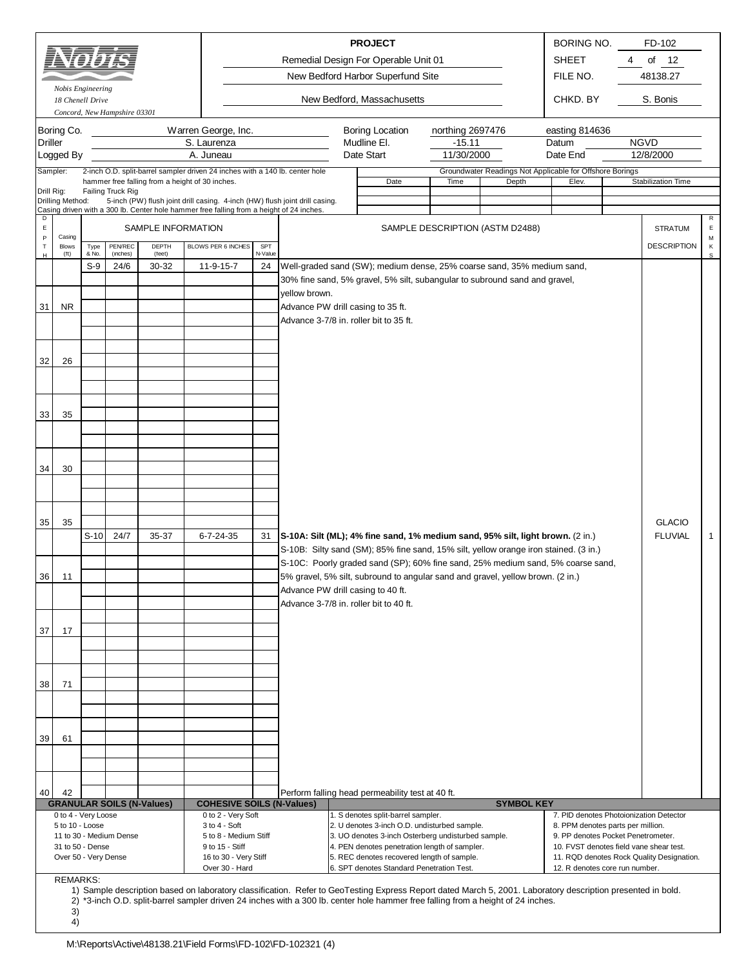|                  |                   |                |                              |                    |                                                                                          |               |                                                                            | <b>PROJECT</b>                        |                                 | <b>BORING NO.</b>                                                                    |   | FD-102                          |        |
|------------------|-------------------|----------------|------------------------------|--------------------|------------------------------------------------------------------------------------------|---------------|----------------------------------------------------------------------------|---------------------------------------|---------------------------------|--------------------------------------------------------------------------------------|---|---------------------------------|--------|
|                  | AYQIYI            |                |                              |                    |                                                                                          |               | Remedial Design For Operable Unit 01                                       |                                       |                                 | <b>SHEET</b>                                                                         | 4 | of $12$                         |        |
|                  |                   |                |                              |                    |                                                                                          |               | New Bedford Harbor Superfund Site                                          |                                       |                                 | FILE NO.                                                                             |   | 48138.27                        |        |
|                  | Nobis Engineering |                |                              |                    |                                                                                          |               |                                                                            |                                       |                                 |                                                                                      |   |                                 |        |
|                  | 18 Chenell Drive  |                | Concord, New Hampshire 03301 |                    |                                                                                          |               |                                                                            | New Bedford, Massachusetts            |                                 | CHKD. BY                                                                             |   | S. Bonis                        |        |
|                  |                   |                |                              |                    |                                                                                          |               |                                                                            |                                       |                                 |                                                                                      |   |                                 |        |
| <b>Driller</b>   | Boring Co.        |                |                              |                    | Warren George, Inc.<br>S. Laurenza                                                       |               |                                                                            | <b>Boring Location</b><br>Mudline El. | northing 2697476<br>$-15.11$    | easting 814636<br>Datum                                                              |   | <b>NGVD</b>                     |        |
|                  | Logged By         |                |                              |                    | A. Juneau                                                                                |               |                                                                            | Date Start                            | 11/30/2000                      | Date End                                                                             |   | 12/8/2000                       |        |
|                  | Sampler:          |                |                              |                    | 2-inch O.D. split-barrel sampler driven 24 inches with a 140 lb. center hole             |               |                                                                            |                                       |                                 | Groundwater Readings Not Applicable for Offshore Borings                             |   |                                 |        |
| Drill Rig:       |                   |                | Failing Truck Rig            |                    | hammer free falling from a height of 30 inches.                                          |               |                                                                            | Date                                  | Time                            | Elev.<br>Depth                                                                       |   | Stabilization Time              |        |
|                  | Drilling Method:  |                |                              |                    | 5-inch (PW) flush joint drill casing. 4-inch (HW) flush joint drill casing.              |               |                                                                            |                                       |                                 |                                                                                      |   |                                 |        |
| D<br>$\mathsf E$ |                   |                |                              | SAMPLE INFORMATION | Casing driven with a 300 lb. Center hole hammer free falling from a height of 24 inches. |               |                                                                            |                                       | SAMPLE DESCRIPTION (ASTM D2488) |                                                                                      |   | <b>STRATUM</b>                  | E      |
| P<br>$\mathsf T$ | Casing<br>Blows   | Type           | PENREC                       | DEPTH              | BLOWS PER 6 INCHES                                                                       | SPT           |                                                                            |                                       |                                 |                                                                                      |   | <b>DESCRIPTION</b>              | M<br>К |
| н                | (f <sup>t</sup> ) | & No.<br>$S-9$ | (inches)<br>24/6             | (feet)<br>30-32    | 11-9-15-7                                                                                | N-Value<br>24 |                                                                            |                                       |                                 | Well-graded sand (SW); medium dense, 25% coarse sand, 35% medium sand,               |   |                                 | S      |
|                  |                   |                |                              |                    |                                                                                          |               | 30% fine sand, 5% gravel, 5% silt, subangular to subround sand and gravel, |                                       |                                 |                                                                                      |   |                                 |        |
|                  |                   |                |                              |                    |                                                                                          |               | yellow brown.                                                              |                                       |                                 |                                                                                      |   |                                 |        |
| 31               | <b>NR</b>         |                |                              |                    |                                                                                          |               | Advance PW drill casing to 35 ft.                                          |                                       |                                 |                                                                                      |   |                                 |        |
|                  |                   |                |                              |                    |                                                                                          |               | Advance 3-7/8 in. roller bit to 35 ft.                                     |                                       |                                 |                                                                                      |   |                                 |        |
|                  |                   |                |                              |                    |                                                                                          |               |                                                                            |                                       |                                 |                                                                                      |   |                                 |        |
| 32               | 26                |                |                              |                    |                                                                                          |               |                                                                            |                                       |                                 |                                                                                      |   |                                 |        |
|                  |                   |                |                              |                    |                                                                                          |               |                                                                            |                                       |                                 |                                                                                      |   |                                 |        |
|                  |                   |                |                              |                    |                                                                                          |               |                                                                            |                                       |                                 |                                                                                      |   |                                 |        |
|                  |                   |                |                              |                    |                                                                                          |               |                                                                            |                                       |                                 |                                                                                      |   |                                 |        |
| 33               | 35                |                |                              |                    |                                                                                          |               |                                                                            |                                       |                                 |                                                                                      |   |                                 |        |
|                  |                   |                |                              |                    |                                                                                          |               |                                                                            |                                       |                                 |                                                                                      |   |                                 |        |
|                  |                   |                |                              |                    |                                                                                          |               |                                                                            |                                       |                                 |                                                                                      |   |                                 |        |
| 34               | 30                |                |                              |                    |                                                                                          |               |                                                                            |                                       |                                 |                                                                                      |   |                                 |        |
|                  |                   |                |                              |                    |                                                                                          |               |                                                                            |                                       |                                 |                                                                                      |   |                                 |        |
|                  |                   |                |                              |                    |                                                                                          |               |                                                                            |                                       |                                 |                                                                                      |   |                                 |        |
|                  |                   |                |                              |                    |                                                                                          |               |                                                                            |                                       |                                 |                                                                                      |   |                                 |        |
| 35               | 35                | $S-10$         | 24/7                         | 35-37              | 6-7-24-35                                                                                | 31            |                                                                            |                                       |                                 | S-10A: Silt (ML); 4% fine sand, 1% medium sand, 95% silt, light brown. (2 in.)       |   | <b>GLACIO</b><br><b>FLUVIAL</b> | -1     |
|                  |                   |                |                              |                    |                                                                                          |               |                                                                            |                                       |                                 | S-10B: Silty sand (SM); 85% fine sand, 15% silt, yellow orange iron stained. (3 in.) |   |                                 |        |
|                  |                   |                |                              |                    |                                                                                          |               |                                                                            |                                       |                                 | S-10C: Poorly graded sand (SP); 60% fine sand, 25% medium sand, 5% coarse sand,      |   |                                 |        |
| 36               | 11                |                |                              |                    |                                                                                          |               |                                                                            |                                       |                                 | 5% gravel, 5% silt, subround to angular sand and gravel, yellow brown. (2 in.)       |   |                                 |        |
|                  |                   |                |                              |                    |                                                                                          |               | Advance PW drill casing to 40 ft.                                          |                                       |                                 |                                                                                      |   |                                 |        |
|                  |                   |                |                              |                    |                                                                                          |               | Advance 3-7/8 in. roller bit to 40 ft.                                     |                                       |                                 |                                                                                      |   |                                 |        |
| 37               | 17                |                |                              |                    |                                                                                          |               |                                                                            |                                       |                                 |                                                                                      |   |                                 |        |
|                  |                   |                |                              |                    |                                                                                          |               |                                                                            |                                       |                                 |                                                                                      |   |                                 |        |
|                  |                   |                |                              |                    |                                                                                          |               |                                                                            |                                       |                                 |                                                                                      |   |                                 |        |
|                  |                   |                |                              |                    |                                                                                          |               |                                                                            |                                       |                                 |                                                                                      |   |                                 |        |
| 38               | 71                |                |                              |                    |                                                                                          |               |                                                                            |                                       |                                 |                                                                                      |   |                                 |        |
|                  |                   |                |                              |                    |                                                                                          |               |                                                                            |                                       |                                 |                                                                                      |   |                                 |        |
|                  |                   |                |                              |                    |                                                                                          |               |                                                                            |                                       |                                 |                                                                                      |   |                                 |        |
| 39 <sup>1</sup>  | 61                |                |                              |                    |                                                                                          |               |                                                                            |                                       |                                 |                                                                                      |   |                                 |        |

| <b>REMARKS:</b>                                                                                                                                             |
|-------------------------------------------------------------------------------------------------------------------------------------------------------------|
| 1) Sample description based on laboratory classification. Refer to GeoTesting Express Report dated March 5, 2001. Laboratory description presented in bold. |
| 2) *3-inch O.D. split-barrel sampler driven 24 inches with a 300 lb. center hole hammer free falling from a height of 24 inches.                            |
|                                                                                                                                                             |

0 to 4 - Very Loose 0 to 2 - Very Soft 1. S denotes split-barrel sampler. 7. PID denotes Photoionization Detector 5 to 10 - Loose 3to 4 - Soft 3 to 4 - Soft 2. U denotes 3-inch O.D. undisturbed sample.<br>11 to 30 - Medium Dense 5 to 8 - Medium Stiff 3. UO denotes 3-inch Osterberg undisturbed sample.<br>11 to 30 - Medium Dense Pocket Penetr

Perform falling head permeability test at 40 ft. **COHESIVE SOILS (N-Values) SYMBOL KEY** 

Over 50 - Very Dense 16 to 30 - Very Stiff 5. REC denotes recovered length of sample. 11. RQD denotes Rock Quality Designation.

11 to 8 - Medium Stiff 3. UO denotes 3-inch Osterberg undisturbed sample.<br>9. of 15 - Stiff 10. FVST denotes field vane shear test.<br>9. PP denotes Penetrometer 10. PVST denotes field vane shear test.

Over 30 - Hard **6. SPT denotes Standard Penetration Test.** 12. R denotes core run number.

31 to 50 - Dense 9 to 15 - Stiff 9 to 15 - Stiff 4. PEN denotes penetration length of sampler.

40 42

**GRANULAR SOILS (N-Values)**

4)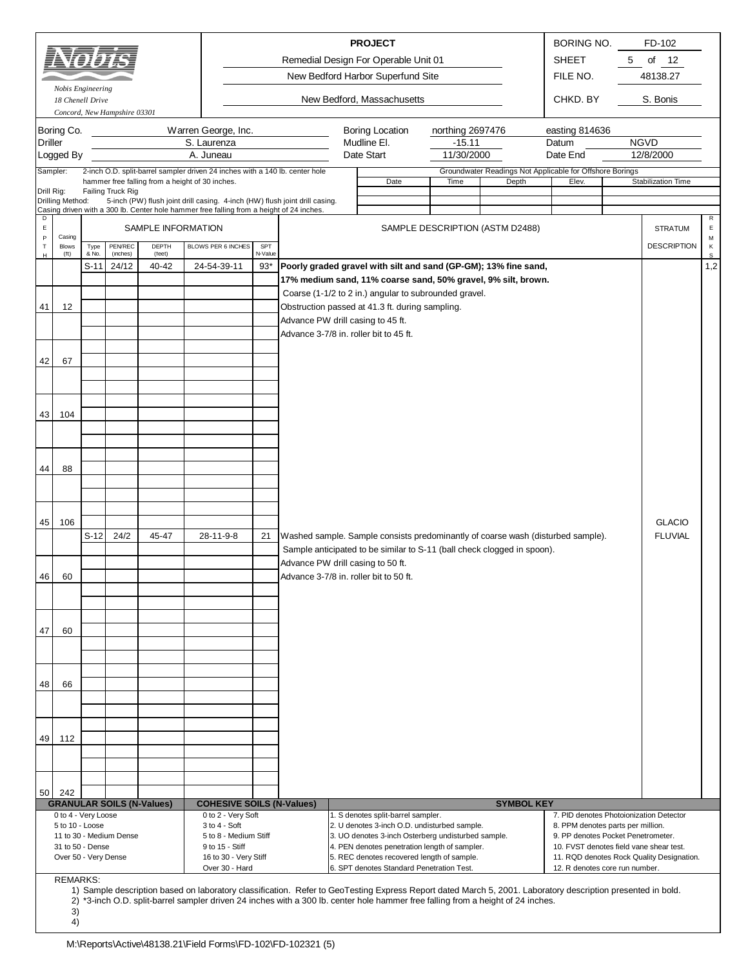| Remedial Design For Operable Unit 01<br><b>SHEET</b><br>New Bedford Harbor Superfund Site<br>FILE NO.<br>Nobis Engineering<br>New Bedford, Massachusetts<br>CHKD. BY<br>18 Chenell Drive<br>Concord, New Hampshire 03301<br>Boring Co.<br>Warren George, Inc.<br><b>Boring Location</b><br>easting 814636<br>northing 2697476<br>S. Laurenza<br>Mudline El.<br>Driller<br>$-15.11$<br>Datum<br>A. Juneau<br>Date Start<br>Logged By<br>11/30/2000<br>Date End<br>Sampler:<br>2-inch O.D. split-barrel sampler driven 24 inches with a 140 lb. center hole<br>Groundwater Readings Not Applicable for Offshore Borings<br>hammer free falling from a height of 30 inches.<br>Date<br>Depth<br>Time<br>Elev.<br>Drill Rig:<br>Failing Truck Rig<br>5-inch (PW) flush joint drill casing. 4-inch (HW) flush joint drill casing.<br>Drilling Method:<br>Casing driven with a 300 lb. Center hole hammer free falling from a height of 24 inches.<br>SAMPLE INFORMATION<br>$\mathsf E$<br>SAMPLE DESCRIPTION (ASTM D2488)<br>$\, {\sf P}$<br>Casing<br>$\sf T$<br>PEN/REC<br>DEPTH<br>BLOWS PER 6 INCHES<br>SPT<br>Type<br><b>Blows</b><br>& No.<br>(inches)<br>(feet)<br>N-Value<br>(f <sup>t</sup> )<br>н<br>$S-11$<br>$93*$<br>Poorly graded gravel with silt and sand (GP-GM); 13% fine sand,<br>24/12<br>40-42<br>24-54-39-11<br>17% medium sand, 11% coarse sand, 50% gravel, 9% silt, brown.<br>Coarse (1-1/2 to 2 in.) angular to subrounded gravel.<br>Obstruction passed at 41.3 ft. during sampling.<br>41<br>12<br>Advance PW drill casing to 45 ft.<br>Advance 3-7/8 in. roller bit to 45 ft.<br>42<br>67<br>104<br>43<br>44<br>88<br>45<br>106<br>$S-12$<br>Washed sample. Sample consists predominantly of coarse wash (disturbed sample).<br>24/2<br>45-47<br>28-11-9-8<br>21<br>Sample anticipated to be similar to S-11 (ball check clogged in spoon).<br>Advance PW drill casing to 50 ft.<br>Advance 3-7/8 in. roller bit to 50 ft.<br>46<br>60<br>47<br>60 | 5<br>of $12$<br>48138.27<br>S. Bonis<br><b>NGVD</b><br>12/8/2000<br>Stabilization Time<br>R<br>E<br><b>STRATUM</b><br>M<br><b>DESCRIPTION</b><br>К<br>s<br>1,2 |  |
|----------------------------------------------------------------------------------------------------------------------------------------------------------------------------------------------------------------------------------------------------------------------------------------------------------------------------------------------------------------------------------------------------------------------------------------------------------------------------------------------------------------------------------------------------------------------------------------------------------------------------------------------------------------------------------------------------------------------------------------------------------------------------------------------------------------------------------------------------------------------------------------------------------------------------------------------------------------------------------------------------------------------------------------------------------------------------------------------------------------------------------------------------------------------------------------------------------------------------------------------------------------------------------------------------------------------------------------------------------------------------------------------------------------------------------------------------------------------------------------------------------------------------------------------------------------------------------------------------------------------------------------------------------------------------------------------------------------------------------------------------------------------------------------------------------------------------------------------------------------------------------------------------------------------------------------------------------------------------|----------------------------------------------------------------------------------------------------------------------------------------------------------------|--|
|                                                                                                                                                                                                                                                                                                                                                                                                                                                                                                                                                                                                                                                                                                                                                                                                                                                                                                                                                                                                                                                                                                                                                                                                                                                                                                                                                                                                                                                                                                                                                                                                                                                                                                                                                                                                                                                                                                                                                                            |                                                                                                                                                                |  |
|                                                                                                                                                                                                                                                                                                                                                                                                                                                                                                                                                                                                                                                                                                                                                                                                                                                                                                                                                                                                                                                                                                                                                                                                                                                                                                                                                                                                                                                                                                                                                                                                                                                                                                                                                                                                                                                                                                                                                                            |                                                                                                                                                                |  |
|                                                                                                                                                                                                                                                                                                                                                                                                                                                                                                                                                                                                                                                                                                                                                                                                                                                                                                                                                                                                                                                                                                                                                                                                                                                                                                                                                                                                                                                                                                                                                                                                                                                                                                                                                                                                                                                                                                                                                                            |                                                                                                                                                                |  |
|                                                                                                                                                                                                                                                                                                                                                                                                                                                                                                                                                                                                                                                                                                                                                                                                                                                                                                                                                                                                                                                                                                                                                                                                                                                                                                                                                                                                                                                                                                                                                                                                                                                                                                                                                                                                                                                                                                                                                                            |                                                                                                                                                                |  |
|                                                                                                                                                                                                                                                                                                                                                                                                                                                                                                                                                                                                                                                                                                                                                                                                                                                                                                                                                                                                                                                                                                                                                                                                                                                                                                                                                                                                                                                                                                                                                                                                                                                                                                                                                                                                                                                                                                                                                                            |                                                                                                                                                                |  |
|                                                                                                                                                                                                                                                                                                                                                                                                                                                                                                                                                                                                                                                                                                                                                                                                                                                                                                                                                                                                                                                                                                                                                                                                                                                                                                                                                                                                                                                                                                                                                                                                                                                                                                                                                                                                                                                                                                                                                                            |                                                                                                                                                                |  |
|                                                                                                                                                                                                                                                                                                                                                                                                                                                                                                                                                                                                                                                                                                                                                                                                                                                                                                                                                                                                                                                                                                                                                                                                                                                                                                                                                                                                                                                                                                                                                                                                                                                                                                                                                                                                                                                                                                                                                                            |                                                                                                                                                                |  |
|                                                                                                                                                                                                                                                                                                                                                                                                                                                                                                                                                                                                                                                                                                                                                                                                                                                                                                                                                                                                                                                                                                                                                                                                                                                                                                                                                                                                                                                                                                                                                                                                                                                                                                                                                                                                                                                                                                                                                                            |                                                                                                                                                                |  |
|                                                                                                                                                                                                                                                                                                                                                                                                                                                                                                                                                                                                                                                                                                                                                                                                                                                                                                                                                                                                                                                                                                                                                                                                                                                                                                                                                                                                                                                                                                                                                                                                                                                                                                                                                                                                                                                                                                                                                                            |                                                                                                                                                                |  |
|                                                                                                                                                                                                                                                                                                                                                                                                                                                                                                                                                                                                                                                                                                                                                                                                                                                                                                                                                                                                                                                                                                                                                                                                                                                                                                                                                                                                                                                                                                                                                                                                                                                                                                                                                                                                                                                                                                                                                                            |                                                                                                                                                                |  |
|                                                                                                                                                                                                                                                                                                                                                                                                                                                                                                                                                                                                                                                                                                                                                                                                                                                                                                                                                                                                                                                                                                                                                                                                                                                                                                                                                                                                                                                                                                                                                                                                                                                                                                                                                                                                                                                                                                                                                                            |                                                                                                                                                                |  |
|                                                                                                                                                                                                                                                                                                                                                                                                                                                                                                                                                                                                                                                                                                                                                                                                                                                                                                                                                                                                                                                                                                                                                                                                                                                                                                                                                                                                                                                                                                                                                                                                                                                                                                                                                                                                                                                                                                                                                                            |                                                                                                                                                                |  |
|                                                                                                                                                                                                                                                                                                                                                                                                                                                                                                                                                                                                                                                                                                                                                                                                                                                                                                                                                                                                                                                                                                                                                                                                                                                                                                                                                                                                                                                                                                                                                                                                                                                                                                                                                                                                                                                                                                                                                                            |                                                                                                                                                                |  |
|                                                                                                                                                                                                                                                                                                                                                                                                                                                                                                                                                                                                                                                                                                                                                                                                                                                                                                                                                                                                                                                                                                                                                                                                                                                                                                                                                                                                                                                                                                                                                                                                                                                                                                                                                                                                                                                                                                                                                                            |                                                                                                                                                                |  |
|                                                                                                                                                                                                                                                                                                                                                                                                                                                                                                                                                                                                                                                                                                                                                                                                                                                                                                                                                                                                                                                                                                                                                                                                                                                                                                                                                                                                                                                                                                                                                                                                                                                                                                                                                                                                                                                                                                                                                                            |                                                                                                                                                                |  |
|                                                                                                                                                                                                                                                                                                                                                                                                                                                                                                                                                                                                                                                                                                                                                                                                                                                                                                                                                                                                                                                                                                                                                                                                                                                                                                                                                                                                                                                                                                                                                                                                                                                                                                                                                                                                                                                                                                                                                                            |                                                                                                                                                                |  |
|                                                                                                                                                                                                                                                                                                                                                                                                                                                                                                                                                                                                                                                                                                                                                                                                                                                                                                                                                                                                                                                                                                                                                                                                                                                                                                                                                                                                                                                                                                                                                                                                                                                                                                                                                                                                                                                                                                                                                                            |                                                                                                                                                                |  |
|                                                                                                                                                                                                                                                                                                                                                                                                                                                                                                                                                                                                                                                                                                                                                                                                                                                                                                                                                                                                                                                                                                                                                                                                                                                                                                                                                                                                                                                                                                                                                                                                                                                                                                                                                                                                                                                                                                                                                                            |                                                                                                                                                                |  |
|                                                                                                                                                                                                                                                                                                                                                                                                                                                                                                                                                                                                                                                                                                                                                                                                                                                                                                                                                                                                                                                                                                                                                                                                                                                                                                                                                                                                                                                                                                                                                                                                                                                                                                                                                                                                                                                                                                                                                                            |                                                                                                                                                                |  |
|                                                                                                                                                                                                                                                                                                                                                                                                                                                                                                                                                                                                                                                                                                                                                                                                                                                                                                                                                                                                                                                                                                                                                                                                                                                                                                                                                                                                                                                                                                                                                                                                                                                                                                                                                                                                                                                                                                                                                                            |                                                                                                                                                                |  |
|                                                                                                                                                                                                                                                                                                                                                                                                                                                                                                                                                                                                                                                                                                                                                                                                                                                                                                                                                                                                                                                                                                                                                                                                                                                                                                                                                                                                                                                                                                                                                                                                                                                                                                                                                                                                                                                                                                                                                                            |                                                                                                                                                                |  |
|                                                                                                                                                                                                                                                                                                                                                                                                                                                                                                                                                                                                                                                                                                                                                                                                                                                                                                                                                                                                                                                                                                                                                                                                                                                                                                                                                                                                                                                                                                                                                                                                                                                                                                                                                                                                                                                                                                                                                                            |                                                                                                                                                                |  |
|                                                                                                                                                                                                                                                                                                                                                                                                                                                                                                                                                                                                                                                                                                                                                                                                                                                                                                                                                                                                                                                                                                                                                                                                                                                                                                                                                                                                                                                                                                                                                                                                                                                                                                                                                                                                                                                                                                                                                                            |                                                                                                                                                                |  |
|                                                                                                                                                                                                                                                                                                                                                                                                                                                                                                                                                                                                                                                                                                                                                                                                                                                                                                                                                                                                                                                                                                                                                                                                                                                                                                                                                                                                                                                                                                                                                                                                                                                                                                                                                                                                                                                                                                                                                                            |                                                                                                                                                                |  |
|                                                                                                                                                                                                                                                                                                                                                                                                                                                                                                                                                                                                                                                                                                                                                                                                                                                                                                                                                                                                                                                                                                                                                                                                                                                                                                                                                                                                                                                                                                                                                                                                                                                                                                                                                                                                                                                                                                                                                                            |                                                                                                                                                                |  |
|                                                                                                                                                                                                                                                                                                                                                                                                                                                                                                                                                                                                                                                                                                                                                                                                                                                                                                                                                                                                                                                                                                                                                                                                                                                                                                                                                                                                                                                                                                                                                                                                                                                                                                                                                                                                                                                                                                                                                                            |                                                                                                                                                                |  |
|                                                                                                                                                                                                                                                                                                                                                                                                                                                                                                                                                                                                                                                                                                                                                                                                                                                                                                                                                                                                                                                                                                                                                                                                                                                                                                                                                                                                                                                                                                                                                                                                                                                                                                                                                                                                                                                                                                                                                                            | <b>GLACIO</b>                                                                                                                                                  |  |
|                                                                                                                                                                                                                                                                                                                                                                                                                                                                                                                                                                                                                                                                                                                                                                                                                                                                                                                                                                                                                                                                                                                                                                                                                                                                                                                                                                                                                                                                                                                                                                                                                                                                                                                                                                                                                                                                                                                                                                            | <b>FLUVIAL</b>                                                                                                                                                 |  |
|                                                                                                                                                                                                                                                                                                                                                                                                                                                                                                                                                                                                                                                                                                                                                                                                                                                                                                                                                                                                                                                                                                                                                                                                                                                                                                                                                                                                                                                                                                                                                                                                                                                                                                                                                                                                                                                                                                                                                                            |                                                                                                                                                                |  |
|                                                                                                                                                                                                                                                                                                                                                                                                                                                                                                                                                                                                                                                                                                                                                                                                                                                                                                                                                                                                                                                                                                                                                                                                                                                                                                                                                                                                                                                                                                                                                                                                                                                                                                                                                                                                                                                                                                                                                                            |                                                                                                                                                                |  |
|                                                                                                                                                                                                                                                                                                                                                                                                                                                                                                                                                                                                                                                                                                                                                                                                                                                                                                                                                                                                                                                                                                                                                                                                                                                                                                                                                                                                                                                                                                                                                                                                                                                                                                                                                                                                                                                                                                                                                                            |                                                                                                                                                                |  |
|                                                                                                                                                                                                                                                                                                                                                                                                                                                                                                                                                                                                                                                                                                                                                                                                                                                                                                                                                                                                                                                                                                                                                                                                                                                                                                                                                                                                                                                                                                                                                                                                                                                                                                                                                                                                                                                                                                                                                                            |                                                                                                                                                                |  |
|                                                                                                                                                                                                                                                                                                                                                                                                                                                                                                                                                                                                                                                                                                                                                                                                                                                                                                                                                                                                                                                                                                                                                                                                                                                                                                                                                                                                                                                                                                                                                                                                                                                                                                                                                                                                                                                                                                                                                                            |                                                                                                                                                                |  |
|                                                                                                                                                                                                                                                                                                                                                                                                                                                                                                                                                                                                                                                                                                                                                                                                                                                                                                                                                                                                                                                                                                                                                                                                                                                                                                                                                                                                                                                                                                                                                                                                                                                                                                                                                                                                                                                                                                                                                                            |                                                                                                                                                                |  |
|                                                                                                                                                                                                                                                                                                                                                                                                                                                                                                                                                                                                                                                                                                                                                                                                                                                                                                                                                                                                                                                                                                                                                                                                                                                                                                                                                                                                                                                                                                                                                                                                                                                                                                                                                                                                                                                                                                                                                                            |                                                                                                                                                                |  |
|                                                                                                                                                                                                                                                                                                                                                                                                                                                                                                                                                                                                                                                                                                                                                                                                                                                                                                                                                                                                                                                                                                                                                                                                                                                                                                                                                                                                                                                                                                                                                                                                                                                                                                                                                                                                                                                                                                                                                                            |                                                                                                                                                                |  |
| 48<br>66                                                                                                                                                                                                                                                                                                                                                                                                                                                                                                                                                                                                                                                                                                                                                                                                                                                                                                                                                                                                                                                                                                                                                                                                                                                                                                                                                                                                                                                                                                                                                                                                                                                                                                                                                                                                                                                                                                                                                                   |                                                                                                                                                                |  |
|                                                                                                                                                                                                                                                                                                                                                                                                                                                                                                                                                                                                                                                                                                                                                                                                                                                                                                                                                                                                                                                                                                                                                                                                                                                                                                                                                                                                                                                                                                                                                                                                                                                                                                                                                                                                                                                                                                                                                                            |                                                                                                                                                                |  |
|                                                                                                                                                                                                                                                                                                                                                                                                                                                                                                                                                                                                                                                                                                                                                                                                                                                                                                                                                                                                                                                                                                                                                                                                                                                                                                                                                                                                                                                                                                                                                                                                                                                                                                                                                                                                                                                                                                                                                                            |                                                                                                                                                                |  |
| 112<br>49                                                                                                                                                                                                                                                                                                                                                                                                                                                                                                                                                                                                                                                                                                                                                                                                                                                                                                                                                                                                                                                                                                                                                                                                                                                                                                                                                                                                                                                                                                                                                                                                                                                                                                                                                                                                                                                                                                                                                                  |                                                                                                                                                                |  |
|                                                                                                                                                                                                                                                                                                                                                                                                                                                                                                                                                                                                                                                                                                                                                                                                                                                                                                                                                                                                                                                                                                                                                                                                                                                                                                                                                                                                                                                                                                                                                                                                                                                                                                                                                                                                                                                                                                                                                                            |                                                                                                                                                                |  |
|                                                                                                                                                                                                                                                                                                                                                                                                                                                                                                                                                                                                                                                                                                                                                                                                                                                                                                                                                                                                                                                                                                                                                                                                                                                                                                                                                                                                                                                                                                                                                                                                                                                                                                                                                                                                                                                                                                                                                                            |                                                                                                                                                                |  |
|                                                                                                                                                                                                                                                                                                                                                                                                                                                                                                                                                                                                                                                                                                                                                                                                                                                                                                                                                                                                                                                                                                                                                                                                                                                                                                                                                                                                                                                                                                                                                                                                                                                                                                                                                                                                                                                                                                                                                                            |                                                                                                                                                                |  |
| 50 242<br><b>GRANULAR SOILS (N-Values)</b><br><b>COHESIVE SOILS (N-Values)</b><br><b>SYMBOL KEY</b>                                                                                                                                                                                                                                                                                                                                                                                                                                                                                                                                                                                                                                                                                                                                                                                                                                                                                                                                                                                                                                                                                                                                                                                                                                                                                                                                                                                                                                                                                                                                                                                                                                                                                                                                                                                                                                                                        |                                                                                                                                                                |  |
| 0 to 4 - Very Loose<br>0 to 2 - Very Soft<br>1. S denotes split-barrel sampler.                                                                                                                                                                                                                                                                                                                                                                                                                                                                                                                                                                                                                                                                                                                                                                                                                                                                                                                                                                                                                                                                                                                                                                                                                                                                                                                                                                                                                                                                                                                                                                                                                                                                                                                                                                                                                                                                                            | 7. PID denotes Photoionization Detector                                                                                                                        |  |
| 2. U denotes 3-inch O.D. undisturbed sample.<br>5 to 10 - Loose<br>3 to 4 - Soft<br>11 to 30 - Medium Dense<br>3. UO denotes 3-inch Osterberg undisturbed sample.<br>5 to 8 - Medium Stiff                                                                                                                                                                                                                                                                                                                                                                                                                                                                                                                                                                                                                                                                                                                                                                                                                                                                                                                                                                                                                                                                                                                                                                                                                                                                                                                                                                                                                                                                                                                                                                                                                                                                                                                                                                                 | 8. PPM denotes parts per million.<br>9. PP denotes Pocket Penetrometer.                                                                                        |  |
| 4. PEN denotes penetration length of sampler.<br>31 to 50 - Dense<br>9 to 15 - Stiff                                                                                                                                                                                                                                                                                                                                                                                                                                                                                                                                                                                                                                                                                                                                                                                                                                                                                                                                                                                                                                                                                                                                                                                                                                                                                                                                                                                                                                                                                                                                                                                                                                                                                                                                                                                                                                                                                       | 10. FVST denotes field vane shear test.                                                                                                                        |  |
| 5. REC denotes recovered length of sample.<br>Over 50 - Very Dense<br>16 to 30 - Very Stiff<br>6. SPT denotes Standard Penetration Test.<br>Over 30 - Hard                                                                                                                                                                                                                                                                                                                                                                                                                                                                                                                                                                                                                                                                                                                                                                                                                                                                                                                                                                                                                                                                                                                                                                                                                                                                                                                                                                                                                                                                                                                                                                                                                                                                                                                                                                                                                 | 11. RQD denotes Rock Quality Designation.<br>12. R denotes core run number.                                                                                    |  |
| <b>REMARKS:</b>                                                                                                                                                                                                                                                                                                                                                                                                                                                                                                                                                                                                                                                                                                                                                                                                                                                                                                                                                                                                                                                                                                                                                                                                                                                                                                                                                                                                                                                                                                                                                                                                                                                                                                                                                                                                                                                                                                                                                            |                                                                                                                                                                |  |
| 1) Sample description based on laboratory classification. Refer to GeoTesting Express Report dated March 5, 2001. Laboratory description presented in bold.<br>2) *3-inch O.D. split-barrel sampler driven 24 inches with a 300 lb. center hole hammer free falling from a height of 24 inches.<br>3)                                                                                                                                                                                                                                                                                                                                                                                                                                                                                                                                                                                                                                                                                                                                                                                                                                                                                                                                                                                                                                                                                                                                                                                                                                                                                                                                                                                                                                                                                                                                                                                                                                                                      |                                                                                                                                                                |  |

4)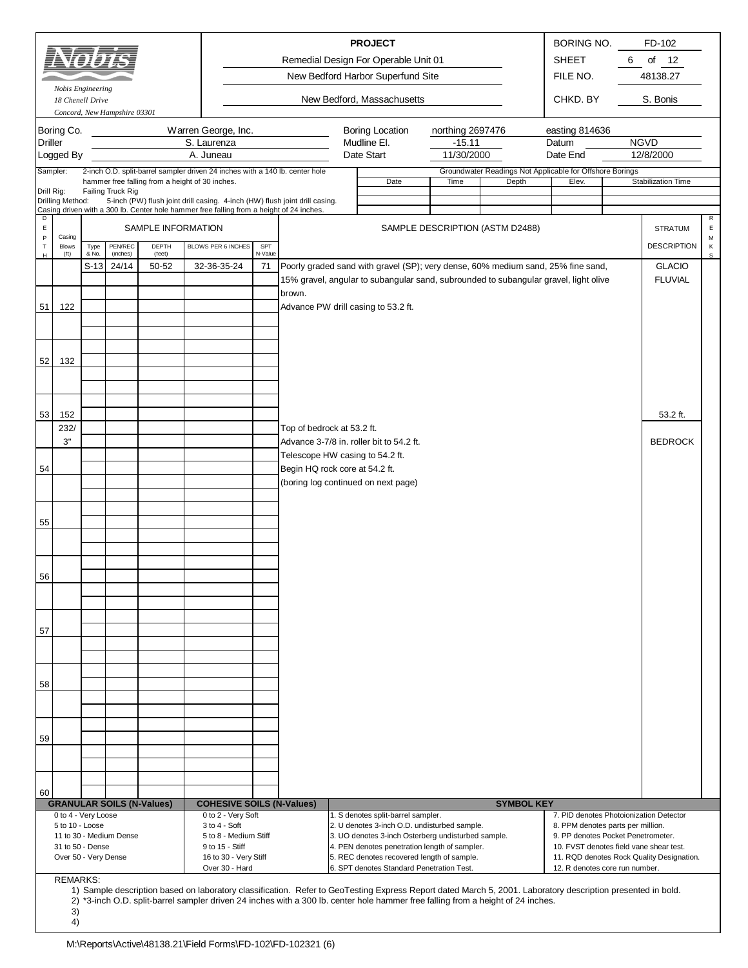|                  |                        |        |                              |                    |                                                                                                                                                                         |         |                                                                                                                                                                          | <b>PROJECT</b>                    |                  |                                                                   | BORING NO.     |   | FD-102                          |                             |
|------------------|------------------------|--------|------------------------------|--------------------|-------------------------------------------------------------------------------------------------------------------------------------------------------------------------|---------|--------------------------------------------------------------------------------------------------------------------------------------------------------------------------|-----------------------------------|------------------|-------------------------------------------------------------------|----------------|---|---------------------------------|-----------------------------|
|                  |                        |        |                              |                    |                                                                                                                                                                         |         | Remedial Design For Operable Unit 01                                                                                                                                     |                                   |                  |                                                                   | <b>SHEET</b>   | 6 | of $12$                         |                             |
|                  |                        |        |                              |                    |                                                                                                                                                                         |         |                                                                                                                                                                          | New Bedford Harbor Superfund Site |                  |                                                                   | FILE NO.       |   | 48138.27                        |                             |
|                  | Nobis Engineering      |        |                              |                    |                                                                                                                                                                         |         |                                                                                                                                                                          |                                   |                  |                                                                   |                |   |                                 |                             |
|                  | 18 Chenell Drive       |        | Concord, New Hampshire 03301 |                    |                                                                                                                                                                         |         |                                                                                                                                                                          | New Bedford, Massachusetts        |                  |                                                                   | CHKD. BY       |   | S. Bonis                        |                             |
|                  | Boring Co.             |        |                              |                    | Warren George, Inc.                                                                                                                                                     |         |                                                                                                                                                                          | <b>Boring Location</b>            | northing 2697476 |                                                                   | easting 814636 |   |                                 |                             |
| <b>Driller</b>   |                        |        |                              |                    | S. Laurenza                                                                                                                                                             |         |                                                                                                                                                                          | Mudline El.                       | $-15.11$         |                                                                   | Datum          |   | <b>NGVD</b>                     |                             |
|                  | Logged By              |        |                              |                    | A. Juneau                                                                                                                                                               |         |                                                                                                                                                                          | Date Start                        | 11/30/2000       |                                                                   | Date End       |   | 12/8/2000                       |                             |
|                  | Sampler:               |        |                              |                    | 2-inch O.D. split-barrel sampler driven 24 inches with a 140 lb. center hole                                                                                            |         |                                                                                                                                                                          | Date                              | Time             | Groundwater Readings Not Applicable for Offshore Borings<br>Depth | Elev.          |   | <b>Stabilization Time</b>       |                             |
| Drill Rig:       |                        |        | Failing Truck Rig            |                    | hammer free falling from a height of 30 inches.                                                                                                                         |         |                                                                                                                                                                          |                                   |                  |                                                                   |                |   |                                 |                             |
|                  | Drilling Method:       |        |                              |                    | 5-inch (PW) flush joint drill casing. 4-inch (HW) flush joint drill casing.<br>Casing driven with a 300 lb. Center hole hammer free falling from a height of 24 inches. |         |                                                                                                                                                                          |                                   |                  |                                                                   |                |   |                                 |                             |
| D<br>$\mathsf E$ |                        |        |                              | SAMPLE INFORMATION |                                                                                                                                                                         |         |                                                                                                                                                                          |                                   |                  | SAMPLE DESCRIPTION (ASTM D2488)                                   |                |   | <b>STRATUM</b>                  | $\mathsf{R}$<br>$\mathsf E$ |
| P<br>$\mathsf T$ | Casing<br><b>Blows</b> | Type   | PENREC                       | <b>DEPTH</b>       | BLOWS PER 6 INCHES                                                                                                                                                      | SPT     |                                                                                                                                                                          |                                   |                  |                                                                   |                |   | <b>DESCRIPTION</b>              | M<br>$\,$ K                 |
| H                | (f <sub>t</sub> )      | & No.  | (inches)                     | (feet)             |                                                                                                                                                                         | N-Value |                                                                                                                                                                          |                                   |                  |                                                                   |                |   |                                 | $\mathsf{s}$                |
|                  |                        | $S-13$ | 24/14                        | 50-52              | 32-36-35-24                                                                                                                                                             | 71      | Poorly graded sand with gravel (SP); very dense, 60% medium sand, 25% fine sand,<br>15% gravel, angular to subangular sand, subrounded to subangular gravel, light olive |                                   |                  |                                                                   |                |   | <b>GLACIO</b><br><b>FLUVIAL</b> |                             |
|                  |                        |        |                              |                    |                                                                                                                                                                         |         | brown.                                                                                                                                                                   |                                   |                  |                                                                   |                |   |                                 |                             |
| 51               | 122                    |        |                              |                    |                                                                                                                                                                         |         | Advance PW drill casing to 53.2 ft.                                                                                                                                      |                                   |                  |                                                                   |                |   |                                 |                             |
|                  |                        |        |                              |                    |                                                                                                                                                                         |         |                                                                                                                                                                          |                                   |                  |                                                                   |                |   |                                 |                             |
|                  |                        |        |                              |                    |                                                                                                                                                                         |         |                                                                                                                                                                          |                                   |                  |                                                                   |                |   |                                 |                             |
| 52               | 132                    |        |                              |                    |                                                                                                                                                                         |         |                                                                                                                                                                          |                                   |                  |                                                                   |                |   |                                 |                             |
|                  |                        |        |                              |                    |                                                                                                                                                                         |         |                                                                                                                                                                          |                                   |                  |                                                                   |                |   |                                 |                             |
|                  |                        |        |                              |                    |                                                                                                                                                                         |         |                                                                                                                                                                          |                                   |                  |                                                                   |                |   |                                 |                             |
|                  |                        |        |                              |                    |                                                                                                                                                                         |         |                                                                                                                                                                          |                                   |                  |                                                                   |                |   |                                 |                             |
| 53               | 152<br>232/            |        |                              |                    |                                                                                                                                                                         |         | Top of bedrock at 53.2 ft.                                                                                                                                               |                                   |                  |                                                                   |                |   | 53.2 ft.                        |                             |
|                  | 3"                     |        |                              |                    |                                                                                                                                                                         |         | Advance 3-7/8 in. roller bit to 54.2 ft.                                                                                                                                 |                                   |                  |                                                                   |                |   | <b>BEDROCK</b>                  |                             |
|                  |                        |        |                              |                    |                                                                                                                                                                         |         | Telescope HW casing to 54.2 ft.                                                                                                                                          |                                   |                  |                                                                   |                |   |                                 |                             |
| 54               |                        |        |                              |                    |                                                                                                                                                                         |         | Begin HQ rock core at 54.2 ft.                                                                                                                                           |                                   |                  |                                                                   |                |   |                                 |                             |
|                  |                        |        |                              |                    |                                                                                                                                                                         |         | (boring log continued on next page)                                                                                                                                      |                                   |                  |                                                                   |                |   |                                 |                             |
|                  |                        |        |                              |                    |                                                                                                                                                                         |         |                                                                                                                                                                          |                                   |                  |                                                                   |                |   |                                 |                             |
| 55               |                        |        |                              |                    |                                                                                                                                                                         |         |                                                                                                                                                                          |                                   |                  |                                                                   |                |   |                                 |                             |
|                  |                        |        |                              |                    |                                                                                                                                                                         |         |                                                                                                                                                                          |                                   |                  |                                                                   |                |   |                                 |                             |
|                  |                        |        |                              |                    |                                                                                                                                                                         |         |                                                                                                                                                                          |                                   |                  |                                                                   |                |   |                                 |                             |
| 56               |                        |        |                              |                    |                                                                                                                                                                         |         |                                                                                                                                                                          |                                   |                  |                                                                   |                |   |                                 |                             |
|                  |                        |        |                              |                    |                                                                                                                                                                         |         |                                                                                                                                                                          |                                   |                  |                                                                   |                |   |                                 |                             |
|                  |                        |        |                              |                    |                                                                                                                                                                         |         |                                                                                                                                                                          |                                   |                  |                                                                   |                |   |                                 |                             |
|                  |                        |        |                              |                    |                                                                                                                                                                         |         |                                                                                                                                                                          |                                   |                  |                                                                   |                |   |                                 |                             |
| 57               |                        |        |                              |                    |                                                                                                                                                                         |         |                                                                                                                                                                          |                                   |                  |                                                                   |                |   |                                 |                             |

| 60 |                         |  |  |                                  |                                  |  |                                                    |                                            |                                           |  |  |
|----|-------------------------|--|--|----------------------------------|----------------------------------|--|----------------------------------------------------|--------------------------------------------|-------------------------------------------|--|--|
|    |                         |  |  | <b>GRANULAR SOILS (N-Values)</b> | <b>COHESIVE SOILS (N-Values)</b> |  |                                                    | <b>SYMBOL KEY</b>                          |                                           |  |  |
|    | 0 to 4 - Very Loose     |  |  | 0 to 2 - Very Soft               |                                  |  | 1. S denotes split-barrel sampler.                 | 7. PID denotes Photoionization Detector    |                                           |  |  |
|    | $5$ to $10 -$ Loose     |  |  | $3$ to $4 - Soft$                |                                  |  | 2. U denotes 3-inch O.D. undisturbed sample.       | 8. PPM denotes parts per million.          |                                           |  |  |
|    | 11 to 30 - Medium Dense |  |  | 5 to 8 - Medium Stiff            |                                  |  | 3. UO denotes 3-inch Osterberg undisturbed sample. | 9. PP denotes Pocket Penetrometer.         |                                           |  |  |
|    | 31 to 50 - Dense        |  |  | 9 to 15 - Stiff                  |                                  |  | 4. PEN denotes penetration length of sampler.      | 10. FVST denotes field vane shear test.    |                                           |  |  |
|    | Over 50 - Very Dense    |  |  |                                  | 16 to 30 - Very Stiff            |  |                                                    | 5. REC denotes recovered length of sample. | 11. RQD denotes Rock Quality Designation. |  |  |
|    |                         |  |  | Over 30 - Hard                   |                                  |  | 6. SPT denotes Standard Penetration Test.          | 12. R denotes core run number.             |                                           |  |  |

REMARKS:

4)

58

59

1) 2) 3) Sample description based on laboratory classification. Refer to GeoTesting Express Report dated March 5, 2001. Laboratory description presented in bold. \*3-inch O.D. split-barrel sampler driven 24 inches with a 300 lb. center hole hammer free falling from a height of 24 inches.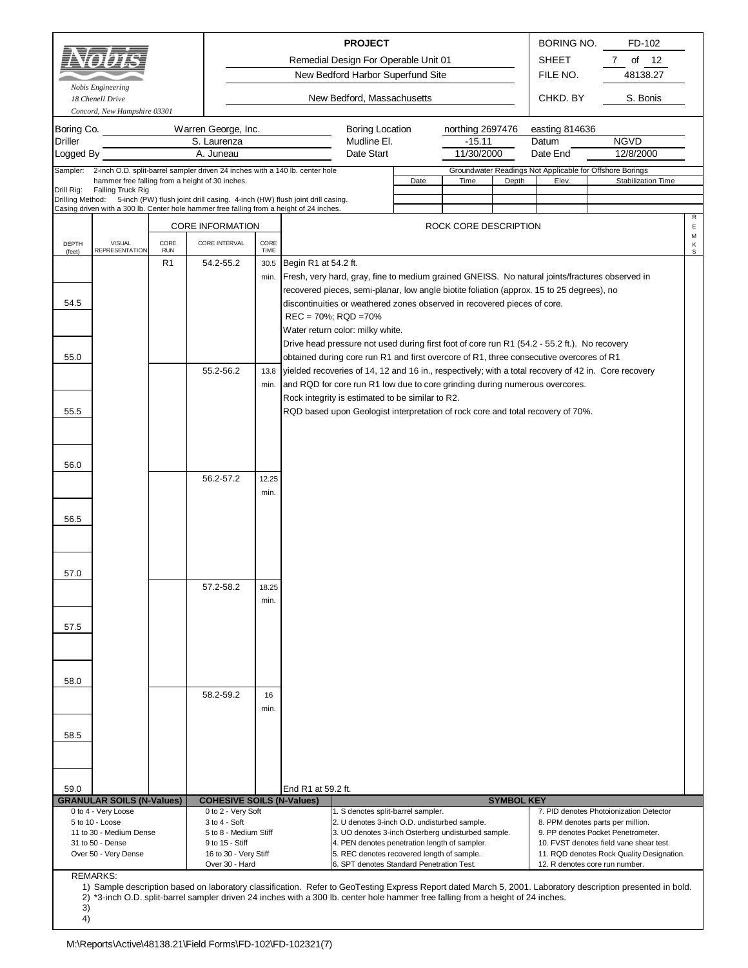|                              | Nobis Engineering<br>18 Chenell Drive                                                                                                                                                    |                    |                                          |              |                      | <b>PROJECT</b><br>Remedial Design For Operable Unit 01<br>New Bedford Harbor Superfund Site<br>New Bedford, Massachusetts |      |                              |       | BORING NO.<br><b>SHEET</b><br>FILE NO.<br>CHKD. BY | FD-102<br>$\overline{7}$<br>of<br>- 12<br>48138.27<br>S. Bonis                                       |        |
|------------------------------|------------------------------------------------------------------------------------------------------------------------------------------------------------------------------------------|--------------------|------------------------------------------|--------------|----------------------|---------------------------------------------------------------------------------------------------------------------------|------|------------------------------|-------|----------------------------------------------------|------------------------------------------------------------------------------------------------------|--------|
| Boring Co.<br><b>Driller</b> | Concord, New Hampshire 03301                                                                                                                                                             |                    | Warren George, Inc.<br>S. Laurenza       |              |                      | Boring Location<br>Mudline El.                                                                                            |      | northing 2697476<br>$-15.11$ |       | easting 814636<br>Datum                            | <b>NGVD</b>                                                                                          |        |
| Logged By                    |                                                                                                                                                                                          |                    | A. Juneau                                |              |                      | Date Start                                                                                                                |      | 11/30/2000                   |       | Date End                                           | 12/8/2000                                                                                            |        |
| Sampler:                     | 2-inch O.D. split-barrel sampler driven 24 inches with a 140 lb. center hole<br>hammer free falling from a height of 30 inches.                                                          |                    |                                          |              |                      |                                                                                                                           | Date | Time                         | Depth | Elev.                                              | Groundwater Readings Not Applicable for Offshore Borings<br>Stabilization Time                       |        |
| Drill Rig:                   | Failing Truck Rig                                                                                                                                                                        |                    |                                          |              |                      |                                                                                                                           |      |                              |       |                                                    |                                                                                                      |        |
|                              | Drilling Method: 5-inch (PW) flush joint drill casing. 4-inch (HW) flush joint drill casing.<br>Casing driven with a 300 lb. Center hole hammer free falling from a height of 24 inches. |                    |                                          |              |                      |                                                                                                                           |      |                              |       |                                                    |                                                                                                      |        |
|                              |                                                                                                                                                                                          |                    |                                          |              |                      |                                                                                                                           |      |                              |       |                                                    |                                                                                                      | R      |
|                              |                                                                                                                                                                                          |                    | <b>CORE INFORMATION</b>                  |              |                      |                                                                                                                           |      | ROCK CORE DESCRIPTION        |       |                                                    |                                                                                                      | Ε<br>М |
| DEPTH<br>(feet)              | <b>VISUAL</b><br><b>REPRESENTATION</b>                                                                                                                                                   | CORE<br><b>RUN</b> | CORE INTERVAL                            | CORE<br>TIME |                      |                                                                                                                           |      |                              |       |                                                    |                                                                                                      | Κ<br>s |
|                              |                                                                                                                                                                                          | R1                 | 54.2-55.2                                | 30.5         | Begin R1 at 54.2 ft. |                                                                                                                           |      |                              |       |                                                    |                                                                                                      |        |
|                              |                                                                                                                                                                                          |                    |                                          | min.         |                      |                                                                                                                           |      |                              |       |                                                    | Fresh, very hard, gray, fine to medium grained GNEISS. No natural joints/fractures observed in       |        |
|                              |                                                                                                                                                                                          |                    |                                          |              |                      | recovered pieces, semi-planar, low angle biotite foliation (approx. 15 to 25 degrees), no                                 |      |                              |       |                                                    |                                                                                                      |        |
| 54.5                         |                                                                                                                                                                                          |                    |                                          |              |                      | discontinuities or weathered zones observed in recovered pieces of core.                                                  |      |                              |       |                                                    |                                                                                                      |        |
|                              |                                                                                                                                                                                          |                    |                                          |              |                      | $REC = 70\%$ ; $RQD = 70\%$                                                                                               |      |                              |       |                                                    |                                                                                                      |        |
|                              |                                                                                                                                                                                          |                    |                                          |              |                      | Water return color: milky white.                                                                                          |      |                              |       |                                                    |                                                                                                      |        |
|                              |                                                                                                                                                                                          |                    |                                          |              |                      | Drive head pressure not used during first foot of core run R1 (54.2 - 55.2 ft.). No recovery                              |      |                              |       |                                                    |                                                                                                      |        |
| 55.0                         |                                                                                                                                                                                          |                    |                                          |              |                      | obtained during core run R1 and first overcore of R1, three consecutive overcores of R1                                   |      |                              |       |                                                    |                                                                                                      |        |
|                              |                                                                                                                                                                                          |                    | 55.2-56.2                                | 13.8         |                      |                                                                                                                           |      |                              |       |                                                    | yielded recoveries of 14, 12 and 16 in., respectively; with a total recovery of 42 in. Core recovery |        |
|                              |                                                                                                                                                                                          |                    |                                          | min.         |                      | and RQD for core run R1 low due to core grinding during numerous overcores.                                               |      |                              |       |                                                    |                                                                                                      |        |
|                              |                                                                                                                                                                                          |                    |                                          |              |                      | Rock integrity is estimated to be similar to R2.                                                                          |      |                              |       |                                                    |                                                                                                      |        |
| 55.5                         |                                                                                                                                                                                          |                    |                                          |              |                      | RQD based upon Geologist interpretation of rock core and total recovery of 70%.                                           |      |                              |       |                                                    |                                                                                                      |        |
|                              |                                                                                                                                                                                          |                    |                                          |              |                      |                                                                                                                           |      |                              |       |                                                    |                                                                                                      |        |
|                              |                                                                                                                                                                                          |                    |                                          |              |                      |                                                                                                                           |      |                              |       |                                                    |                                                                                                      |        |
|                              |                                                                                                                                                                                          |                    |                                          |              |                      |                                                                                                                           |      |                              |       |                                                    |                                                                                                      |        |
| 56.0                         |                                                                                                                                                                                          |                    |                                          |              |                      |                                                                                                                           |      |                              |       |                                                    |                                                                                                      |        |
|                              |                                                                                                                                                                                          |                    | 56.2-57.2                                | 12.25        |                      |                                                                                                                           |      |                              |       |                                                    |                                                                                                      |        |
|                              |                                                                                                                                                                                          |                    |                                          | min.         |                      |                                                                                                                           |      |                              |       |                                                    |                                                                                                      |        |
|                              |                                                                                                                                                                                          |                    |                                          |              |                      |                                                                                                                           |      |                              |       |                                                    |                                                                                                      |        |
| 56.5                         |                                                                                                                                                                                          |                    |                                          |              |                      |                                                                                                                           |      |                              |       |                                                    |                                                                                                      |        |
|                              |                                                                                                                                                                                          |                    |                                          |              |                      |                                                                                                                           |      |                              |       |                                                    |                                                                                                      |        |
|                              |                                                                                                                                                                                          |                    |                                          |              |                      |                                                                                                                           |      |                              |       |                                                    |                                                                                                      |        |
|                              |                                                                                                                                                                                          |                    |                                          |              |                      |                                                                                                                           |      |                              |       |                                                    |                                                                                                      |        |
| 57.0                         |                                                                                                                                                                                          |                    |                                          |              |                      |                                                                                                                           |      |                              |       |                                                    |                                                                                                      |        |
|                              |                                                                                                                                                                                          |                    | 57.2-58.2                                | 18.25        |                      |                                                                                                                           |      |                              |       |                                                    |                                                                                                      |        |
|                              |                                                                                                                                                                                          |                    |                                          | min.         |                      |                                                                                                                           |      |                              |       |                                                    |                                                                                                      |        |
|                              |                                                                                                                                                                                          |                    |                                          |              |                      |                                                                                                                           |      |                              |       |                                                    |                                                                                                      |        |
| 57.5                         |                                                                                                                                                                                          |                    |                                          |              |                      |                                                                                                                           |      |                              |       |                                                    |                                                                                                      |        |
|                              |                                                                                                                                                                                          |                    |                                          |              |                      |                                                                                                                           |      |                              |       |                                                    |                                                                                                      |        |
|                              |                                                                                                                                                                                          |                    |                                          |              |                      |                                                                                                                           |      |                              |       |                                                    |                                                                                                      |        |
|                              |                                                                                                                                                                                          |                    |                                          |              |                      |                                                                                                                           |      |                              |       |                                                    |                                                                                                      |        |
| 58.0                         |                                                                                                                                                                                          |                    |                                          |              |                      |                                                                                                                           |      |                              |       |                                                    |                                                                                                      |        |
|                              |                                                                                                                                                                                          |                    | 58.2-59.2                                | 16           |                      |                                                                                                                           |      |                              |       |                                                    |                                                                                                      |        |
|                              |                                                                                                                                                                                          |                    |                                          | min.         |                      |                                                                                                                           |      |                              |       |                                                    |                                                                                                      |        |
|                              |                                                                                                                                                                                          |                    |                                          |              |                      |                                                                                                                           |      |                              |       |                                                    |                                                                                                      |        |
| 58.5                         |                                                                                                                                                                                          |                    |                                          |              |                      |                                                                                                                           |      |                              |       |                                                    |                                                                                                      |        |
|                              |                                                                                                                                                                                          |                    |                                          |              |                      |                                                                                                                           |      |                              |       |                                                    |                                                                                                      |        |
|                              |                                                                                                                                                                                          |                    |                                          |              |                      |                                                                                                                           |      |                              |       |                                                    |                                                                                                      |        |
|                              |                                                                                                                                                                                          |                    |                                          |              |                      |                                                                                                                           |      |                              |       |                                                    |                                                                                                      |        |
| 59.0                         |                                                                                                                                                                                          |                    |                                          |              |                      |                                                                                                                           |      |                              |       |                                                    |                                                                                                      |        |
|                              | <b>GRANULAR SOILS (N-Values)</b>                                                                                                                                                         |                    | <b>COHESIVE SOILS (N-Values)</b>         |              |                      | End R1 at 59.2 ft.<br><b>SYMBOL KEY</b>                                                                                   |      |                              |       |                                                    |                                                                                                      |        |
|                              | 0 to 4 - Very Loose                                                                                                                                                                      |                    | 0 to 2 - Very Soft                       |              |                      | 1. S denotes split-barrel sampler.                                                                                        |      |                              |       |                                                    | 7. PID denotes Photoionization Detector                                                              |        |
|                              | 5 to 10 - Loose                                                                                                                                                                          |                    | $3$ to $4 - Soft$                        |              |                      | 2. U denotes 3-inch O.D. undisturbed sample.<br>8. PPM denotes parts per million.                                         |      |                              |       |                                                    |                                                                                                      |        |
|                              | 11 to 30 - Medium Dense                                                                                                                                                                  |                    | 5 to 8 - Medium Stiff                    |              |                      | 3. UO denotes 3-inch Osterberg undisturbed sample.                                                                        |      |                              |       |                                                    | 9. PP denotes Pocket Penetrometer.                                                                   |        |
|                              | 31 to 50 - Dense<br>Over 50 - Very Dense                                                                                                                                                 |                    | 9 to 15 - Stiff<br>16 to 30 - Very Stiff |              |                      | 4. PEN denotes penetration length of sampler.<br>5. REC denotes recovered length of sample.                               |      |                              |       |                                                    | 10. FVST denotes field vane shear test.<br>11. RQD denotes Rock Quality Designation.                 |        |
|                              |                                                                                                                                                                                          |                    | Over 30 - Hard                           |              |                      | 6. SPT denotes Standard Penetration Test.                                                                                 |      |                              |       |                                                    | 12. R denotes core run number.                                                                       |        |
|                              | <b>REMARKS:</b>                                                                                                                                                                          |                    |                                          |              |                      |                                                                                                                           |      |                              |       |                                                    |                                                                                                      |        |

1) Sample description based on laboratory classification. Refer to GeoTesting Express Report dated March 5, 2001. Laboratory description presented in bold. \*3-inch O.D. split-barrel sampler driven 24 inches with a 300 lb. center hole hammer free falling from a height of 24 inches.

<sup>2)</sup> 3)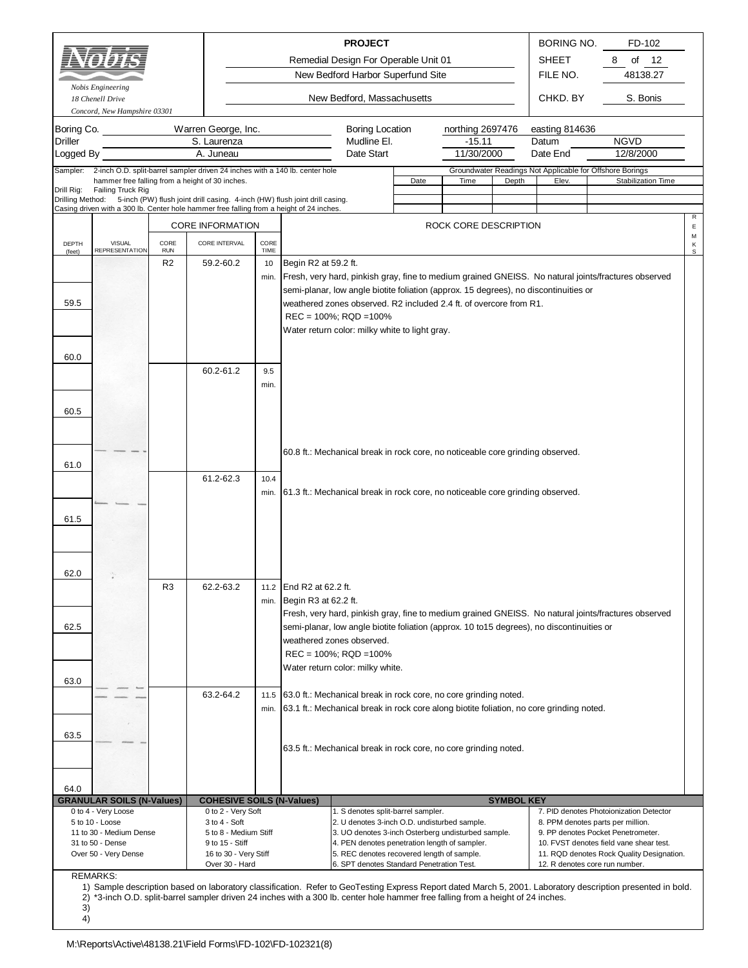|                                                                                                                                                                                                   | Nobis Engineering<br>18 Chenell Drive                                                                                                                                                                         |                    |                                                                                                                                                                    |              |                                            | <b>PROJECT</b><br>Remedial Design For Operable Unit 01<br>New Bedford Harbor Superfund Site<br>New Bedford, Massachusetts                                                                                                                                                            |      |                                            |                   | <b>BORING NO.</b><br><b>SHEET</b><br>FILE NO.<br>CHKD. BY         | FD-102<br>8<br>of<br>12<br>48138.27<br>S. Bonis                                                                                                                                                                                                                                                                                                                                                             |                  |  |  |
|---------------------------------------------------------------------------------------------------------------------------------------------------------------------------------------------------|---------------------------------------------------------------------------------------------------------------------------------------------------------------------------------------------------------------|--------------------|--------------------------------------------------------------------------------------------------------------------------------------------------------------------|--------------|--------------------------------------------|--------------------------------------------------------------------------------------------------------------------------------------------------------------------------------------------------------------------------------------------------------------------------------------|------|--------------------------------------------|-------------------|-------------------------------------------------------------------|-------------------------------------------------------------------------------------------------------------------------------------------------------------------------------------------------------------------------------------------------------------------------------------------------------------------------------------------------------------------------------------------------------------|------------------|--|--|
| Boring Co.<br><b>Driller</b><br>Logged By                                                                                                                                                         | Concord, New Hampshire 03301                                                                                                                                                                                  |                    | Warren George, Inc.<br>S. Laurenza<br>A. Juneau                                                                                                                    |              |                                            | Boring Location<br>Mudline El.<br>Date Start                                                                                                                                                                                                                                         |      | northing 2697476<br>$-15.11$<br>11/30/2000 |                   | easting 814636<br>Datum<br>Date End                               | <b>NGVD</b><br>12/8/2000                                                                                                                                                                                                                                                                                                                                                                                    |                  |  |  |
| Sampler:                                                                                                                                                                                          | 2-inch O.D. split-barrel sampler driven 24 inches with a 140 lb. center hole<br>hammer free falling from a height of 30 inches.                                                                               |                    |                                                                                                                                                                    |              |                                            |                                                                                                                                                                                                                                                                                      | Date | Time                                       | Depth             | Groundwater Readings Not Applicable for Offshore Borings<br>Elev. | Stabilization Time                                                                                                                                                                                                                                                                                                                                                                                          |                  |  |  |
| Drill Rig:                                                                                                                                                                                        | Failing Truck Rig<br>Drilling Method: 5-inch (PW) flush joint drill casing. 4-inch (HW) flush joint drill casing.<br>Casing driven with a 300 lb. Center hole hammer free falling from a height of 24 inches. |                    |                                                                                                                                                                    |              |                                            |                                                                                                                                                                                                                                                                                      |      |                                            |                   |                                                                   |                                                                                                                                                                                                                                                                                                                                                                                                             |                  |  |  |
|                                                                                                                                                                                                   |                                                                                                                                                                                                               |                    | <b>CORE INFORMATION</b>                                                                                                                                            |              |                                            |                                                                                                                                                                                                                                                                                      |      | ROCK CORE DESCRIPTION                      |                   |                                                                   |                                                                                                                                                                                                                                                                                                                                                                                                             | R<br>$\mathsf E$ |  |  |
| DEPTH                                                                                                                                                                                             | <b>VISUAL</b><br><b>REPRESENTATION</b>                                                                                                                                                                        | CORE<br><b>RUN</b> | CORE INTERVAL                                                                                                                                                      | CORE<br>TIME |                                            |                                                                                                                                                                                                                                                                                      |      |                                            |                   |                                                                   |                                                                                                                                                                                                                                                                                                                                                                                                             | М<br>Κ           |  |  |
| (feet)                                                                                                                                                                                            |                                                                                                                                                                                                               | R <sub>2</sub>     | 59.2-60.2                                                                                                                                                          | 10           | Begin R2 at 59.2 ft.                       |                                                                                                                                                                                                                                                                                      |      |                                            |                   |                                                                   |                                                                                                                                                                                                                                                                                                                                                                                                             | s                |  |  |
| 59.5                                                                                                                                                                                              |                                                                                                                                                                                                               |                    |                                                                                                                                                                    | min.         |                                            | semi-planar, low angle biotite foliation (approx. 15 degrees), no discontinuities or<br>weathered zones observed. R2 included 2.4 ft. of overcore from R1.<br>$REC = 100\%$ ; $RQD = 100\%$<br>Water return color: milky white to light gray.                                        |      |                                            |                   |                                                                   | Fresh, very hard, pinkish gray, fine to medium grained GNEISS. No natural joints/fractures observed                                                                                                                                                                                                                                                                                                         |                  |  |  |
|                                                                                                                                                                                                   |                                                                                                                                                                                                               |                    |                                                                                                                                                                    |              |                                            |                                                                                                                                                                                                                                                                                      |      |                                            |                   |                                                                   |                                                                                                                                                                                                                                                                                                                                                                                                             |                  |  |  |
| 60.0                                                                                                                                                                                              |                                                                                                                                                                                                               |                    | 60.2-61.2                                                                                                                                                          | 9.5<br>min.  |                                            |                                                                                                                                                                                                                                                                                      |      |                                            |                   |                                                                   |                                                                                                                                                                                                                                                                                                                                                                                                             |                  |  |  |
| 60.5                                                                                                                                                                                              |                                                                                                                                                                                                               |                    |                                                                                                                                                                    |              |                                            |                                                                                                                                                                                                                                                                                      |      |                                            |                   |                                                                   |                                                                                                                                                                                                                                                                                                                                                                                                             |                  |  |  |
| 61.0                                                                                                                                                                                              |                                                                                                                                                                                                               |                    |                                                                                                                                                                    |              |                                            | 60.8 ft.: Mechanical break in rock core, no noticeable core grinding observed.                                                                                                                                                                                                       |      |                                            |                   |                                                                   |                                                                                                                                                                                                                                                                                                                                                                                                             |                  |  |  |
|                                                                                                                                                                                                   |                                                                                                                                                                                                               |                    | 61.2-62.3                                                                                                                                                          | 10.4<br>min. |                                            | 61.3 ft.: Mechanical break in rock core, no noticeable core grinding observed.                                                                                                                                                                                                       |      |                                            |                   |                                                                   |                                                                                                                                                                                                                                                                                                                                                                                                             |                  |  |  |
| 61.5                                                                                                                                                                                              |                                                                                                                                                                                                               |                    |                                                                                                                                                                    |              |                                            |                                                                                                                                                                                                                                                                                      |      |                                            |                   |                                                                   |                                                                                                                                                                                                                                                                                                                                                                                                             |                  |  |  |
| 62.0                                                                                                                                                                                              |                                                                                                                                                                                                               |                    |                                                                                                                                                                    |              |                                            |                                                                                                                                                                                                                                                                                      |      |                                            |                   |                                                                   |                                                                                                                                                                                                                                                                                                                                                                                                             |                  |  |  |
|                                                                                                                                                                                                   |                                                                                                                                                                                                               | R3                 | 62.2-63.2                                                                                                                                                          | 11.2<br>min. | End R2 at 62.2 ft.<br>Begin R3 at 62.2 ft. |                                                                                                                                                                                                                                                                                      |      |                                            |                   |                                                                   |                                                                                                                                                                                                                                                                                                                                                                                                             |                  |  |  |
| 62.5                                                                                                                                                                                              |                                                                                                                                                                                                               |                    |                                                                                                                                                                    |              |                                            | semi-planar, low angle biotite foliation (approx. 10 to 15 degrees), no discontinuities or<br>weathered zones observed.<br>$REC = 100\%$ ; $RQD = 100\%$                                                                                                                             |      |                                            |                   |                                                                   | Fresh, very hard, pinkish gray, fine to medium grained GNEISS. No natural joints/fractures observed                                                                                                                                                                                                                                                                                                         |                  |  |  |
|                                                                                                                                                                                                   |                                                                                                                                                                                                               |                    |                                                                                                                                                                    |              |                                            | Water return color: milky white.                                                                                                                                                                                                                                                     |      |                                            |                   |                                                                   |                                                                                                                                                                                                                                                                                                                                                                                                             |                  |  |  |
| 63.0<br>63.2-64.2<br>63.0 ft.: Mechanical break in rock core, no core grinding noted.<br>11.5<br>63.1 ft.: Mechanical break in rock core along biotite foliation, no core grinding noted.<br>min. |                                                                                                                                                                                                               |                    |                                                                                                                                                                    |              |                                            |                                                                                                                                                                                                                                                                                      |      |                                            |                   |                                                                   |                                                                                                                                                                                                                                                                                                                                                                                                             |                  |  |  |
| 63.5                                                                                                                                                                                              |                                                                                                                                                                                                               |                    |                                                                                                                                                                    |              |                                            | 63.5 ft.: Mechanical break in rock core, no core grinding noted.                                                                                                                                                                                                                     |      |                                            |                   |                                                                   |                                                                                                                                                                                                                                                                                                                                                                                                             |                  |  |  |
| 64.0                                                                                                                                                                                              |                                                                                                                                                                                                               |                    |                                                                                                                                                                    |              |                                            |                                                                                                                                                                                                                                                                                      |      |                                            |                   |                                                                   |                                                                                                                                                                                                                                                                                                                                                                                                             |                  |  |  |
|                                                                                                                                                                                                   | <b>GRANULAR SOILS (N-Values)</b><br>0 to 4 - Very Loose<br>5 to 10 - Loose<br>11 to 30 - Medium Dense<br>31 to 50 - Dense<br>Over 50 - Very Dense<br><b>REMARKS:</b>                                          |                    | <b>COHESIVE SOILS (N-Values)</b><br>0 to 2 - Very Soft<br>$3$ to $4 - Soft$<br>5 to 8 - Medium Stiff<br>9 to 15 - Stiff<br>16 to 30 - Very Stiff<br>Over 30 - Hard |              |                                            | 1. S denotes split-barrel sampler.<br>2. U denotes 3-inch O.D. undisturbed sample.<br>3. UO denotes 3-inch Osterberg undisturbed sample.<br>4. PEN denotes penetration length of sampler.<br>5. REC denotes recovered length of sample.<br>6. SPT denotes Standard Penetration Test. |      |                                            | <b>SYMBOL KEY</b> |                                                                   | 7. PID denotes Photoionization Detector<br>8. PPM denotes parts per million.<br>9. PP denotes Pocket Penetrometer.<br>10. FVST denotes field vane shear test.<br>11. RQD denotes Rock Quality Designation.<br>12. R denotes core run number.<br>1) Sample description based on laboratory classification. Refer to GeoTesting Express Report dated March 5, 2001. Laboratory description presented in bold. |                  |  |  |

- 3)
- 4)

<sup>2)</sup> \*3-inch O.D. split-barrel sampler driven 24 inches with a 300 lb. center hole hammer free falling from a height of 24 inches.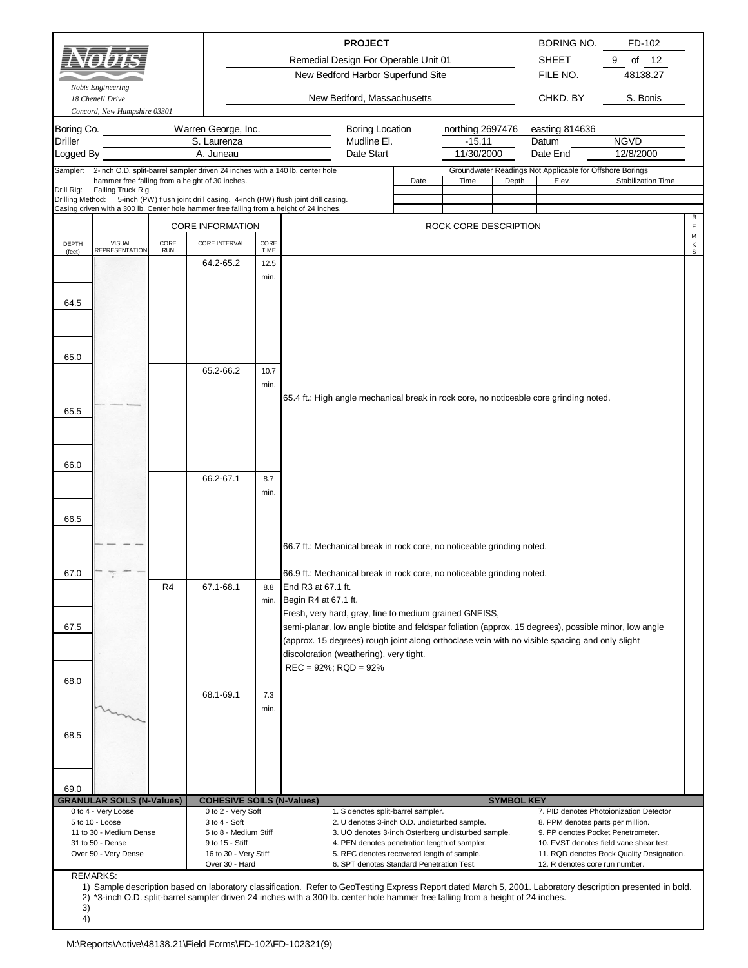|                                           | Nobis Engineering<br>18 Chenell Drive<br>Concord, New Hampshire 03301                                                                                                                                                                                |                    |                                                 |              |                          | <b>PROJECT</b><br>Remedial Design For Operable Unit 01<br>New Bedford Harbor Superfund Site<br>New Bedford, Massachusetts |                                                                                                                                                                        |                                                                                                                                                             |                   | BORING NO.<br><b>SHEET</b><br>FILE NO.<br>CHKD. BY                                             | FD-102<br>οf<br>12<br>9<br>48138.27<br>S. Bonis                                                       |                  |  |  |
|-------------------------------------------|------------------------------------------------------------------------------------------------------------------------------------------------------------------------------------------------------------------------------------------------------|--------------------|-------------------------------------------------|--------------|--------------------------|---------------------------------------------------------------------------------------------------------------------------|------------------------------------------------------------------------------------------------------------------------------------------------------------------------|-------------------------------------------------------------------------------------------------------------------------------------------------------------|-------------------|------------------------------------------------------------------------------------------------|-------------------------------------------------------------------------------------------------------|------------------|--|--|
| Boring Co.<br><b>Driller</b><br>Logged By |                                                                                                                                                                                                                                                      |                    | Warren George, Inc.<br>S. Laurenza<br>A. Juneau |              |                          | <b>Boring Location</b><br>Mudline El.<br>Date Start                                                                       |                                                                                                                                                                        | northing 2697476<br>$-15.11$<br>11/30/2000                                                                                                                  |                   | easting 814636<br>Datum<br>Date End                                                            | <b>NGVD</b><br>12/8/2000                                                                              |                  |  |  |
| Sampler:<br>Drill Rig:                    | 2-inch O.D. split-barrel sampler driven 24 inches with a 140 lb. center hole<br>hammer free falling from a height of 30 inches.<br>Failing Truck Rig<br>Drilling Method: 5-inch (PW) flush joint drill casing. 4-inch (HW) flush joint drill casing. |                    |                                                 |              |                          |                                                                                                                           | Date                                                                                                                                                                   | Time                                                                                                                                                        | Depth             | Elev.                                                                                          | Groundwater Readings Not Applicable for Offshore Borings<br>Stabilization Time                        |                  |  |  |
|                                           | Casing driven with a 300 lb. Center hole hammer free falling from a height of 24 inches.                                                                                                                                                             |                    |                                                 |              |                          |                                                                                                                           |                                                                                                                                                                        |                                                                                                                                                             |                   |                                                                                                |                                                                                                       | R                |  |  |
|                                           |                                                                                                                                                                                                                                                      |                    | <b>CORE INFORMATION</b>                         |              |                          |                                                                                                                           |                                                                                                                                                                        | ROCK CORE DESCRIPTION                                                                                                                                       |                   |                                                                                                |                                                                                                       | Ε<br>М           |  |  |
| DEPTH<br>(feet)                           | <b>VISUAL</b><br><b>REPRESENTATION</b>                                                                                                                                                                                                               | CORE<br><b>RUN</b> | CORE INTERVAL                                   | CORE<br>TIME |                          |                                                                                                                           |                                                                                                                                                                        |                                                                                                                                                             |                   |                                                                                                |                                                                                                       | Κ<br>$\mathbb S$ |  |  |
|                                           |                                                                                                                                                                                                                                                      |                    | 64.2-65.2                                       | 12.5         |                          |                                                                                                                           |                                                                                                                                                                        |                                                                                                                                                             |                   |                                                                                                |                                                                                                       |                  |  |  |
| 64.5                                      |                                                                                                                                                                                                                                                      |                    |                                                 | min.         |                          |                                                                                                                           |                                                                                                                                                                        |                                                                                                                                                             |                   |                                                                                                |                                                                                                       |                  |  |  |
|                                           |                                                                                                                                                                                                                                                      |                    |                                                 |              |                          |                                                                                                                           |                                                                                                                                                                        |                                                                                                                                                             |                   |                                                                                                |                                                                                                       |                  |  |  |
| 65.0                                      |                                                                                                                                                                                                                                                      |                    | 65.2-66.2                                       | 10.7         |                          |                                                                                                                           |                                                                                                                                                                        |                                                                                                                                                             |                   |                                                                                                |                                                                                                       |                  |  |  |
|                                           |                                                                                                                                                                                                                                                      |                    |                                                 | min.         |                          |                                                                                                                           |                                                                                                                                                                        |                                                                                                                                                             |                   |                                                                                                |                                                                                                       |                  |  |  |
|                                           |                                                                                                                                                                                                                                                      |                    |                                                 |              |                          |                                                                                                                           |                                                                                                                                                                        |                                                                                                                                                             |                   | 65.4 ft.: High angle mechanical break in rock core, no noticeable core grinding noted.         |                                                                                                       |                  |  |  |
| 65.5                                      |                                                                                                                                                                                                                                                      |                    |                                                 |              |                          |                                                                                                                           |                                                                                                                                                                        |                                                                                                                                                             |                   |                                                                                                |                                                                                                       |                  |  |  |
|                                           |                                                                                                                                                                                                                                                      |                    |                                                 |              |                          |                                                                                                                           |                                                                                                                                                                        |                                                                                                                                                             |                   |                                                                                                |                                                                                                       |                  |  |  |
|                                           |                                                                                                                                                                                                                                                      |                    |                                                 |              |                          |                                                                                                                           |                                                                                                                                                                        |                                                                                                                                                             |                   |                                                                                                |                                                                                                       |                  |  |  |
| 66.0                                      |                                                                                                                                                                                                                                                      |                    |                                                 |              |                          |                                                                                                                           |                                                                                                                                                                        |                                                                                                                                                             |                   |                                                                                                |                                                                                                       |                  |  |  |
|                                           |                                                                                                                                                                                                                                                      |                    | 66.2-67.1                                       | 8.7          |                          |                                                                                                                           |                                                                                                                                                                        |                                                                                                                                                             |                   |                                                                                                |                                                                                                       |                  |  |  |
|                                           |                                                                                                                                                                                                                                                      |                    |                                                 | min.         |                          |                                                                                                                           |                                                                                                                                                                        |                                                                                                                                                             |                   |                                                                                                |                                                                                                       |                  |  |  |
| 66.5                                      |                                                                                                                                                                                                                                                      |                    |                                                 |              |                          |                                                                                                                           |                                                                                                                                                                        |                                                                                                                                                             |                   |                                                                                                |                                                                                                       |                  |  |  |
|                                           |                                                                                                                                                                                                                                                      |                    |                                                 |              |                          |                                                                                                                           |                                                                                                                                                                        |                                                                                                                                                             |                   |                                                                                                |                                                                                                       |                  |  |  |
|                                           |                                                                                                                                                                                                                                                      |                    |                                                 |              |                          | 66.7 ft.: Mechanical break in rock core, no noticeable grinding noted.                                                    |                                                                                                                                                                        |                                                                                                                                                             |                   |                                                                                                |                                                                                                       |                  |  |  |
|                                           |                                                                                                                                                                                                                                                      |                    |                                                 |              |                          |                                                                                                                           |                                                                                                                                                                        |                                                                                                                                                             |                   |                                                                                                |                                                                                                       |                  |  |  |
| 67.0                                      |                                                                                                                                                                                                                                                      |                    |                                                 |              |                          | 66.9 ft.: Mechanical break in rock core, no noticeable grinding noted.                                                    |                                                                                                                                                                        |                                                                                                                                                             |                   |                                                                                                |                                                                                                       |                  |  |  |
|                                           |                                                                                                                                                                                                                                                      | R4                 | 67.1-68.1                                       | 8.8<br>min.  | Begin R4 at 67.1 ft.     | End R3 at 67.1 ft.                                                                                                        |                                                                                                                                                                        |                                                                                                                                                             |                   |                                                                                                |                                                                                                       |                  |  |  |
|                                           |                                                                                                                                                                                                                                                      |                    |                                                 |              |                          | Fresh, very hard, gray, fine to medium grained GNEISS,                                                                    |                                                                                                                                                                        |                                                                                                                                                             |                   |                                                                                                |                                                                                                       |                  |  |  |
| 67.5                                      |                                                                                                                                                                                                                                                      |                    |                                                 |              |                          |                                                                                                                           |                                                                                                                                                                        |                                                                                                                                                             |                   |                                                                                                | semi-planar, low angle biotite and feldspar foliation (approx. 15 degrees), possible minor, low angle |                  |  |  |
|                                           |                                                                                                                                                                                                                                                      |                    |                                                 |              |                          |                                                                                                                           |                                                                                                                                                                        |                                                                                                                                                             |                   | (approx. 15 degrees) rough joint along orthoclase vein with no visible spacing and only slight |                                                                                                       |                  |  |  |
|                                           |                                                                                                                                                                                                                                                      |                    |                                                 |              | $REC = 92\%; RQD = 92\%$ | discoloration (weathering), very tight.                                                                                   |                                                                                                                                                                        |                                                                                                                                                             |                   |                                                                                                |                                                                                                       |                  |  |  |
| 68.0                                      |                                                                                                                                                                                                                                                      |                    |                                                 |              |                          |                                                                                                                           |                                                                                                                                                                        |                                                                                                                                                             |                   |                                                                                                |                                                                                                       |                  |  |  |
|                                           |                                                                                                                                                                                                                                                      |                    | 68.1-69.1                                       | 7.3          |                          |                                                                                                                           |                                                                                                                                                                        |                                                                                                                                                             |                   |                                                                                                |                                                                                                       |                  |  |  |
|                                           |                                                                                                                                                                                                                                                      |                    |                                                 | min.         |                          |                                                                                                                           |                                                                                                                                                                        |                                                                                                                                                             |                   |                                                                                                |                                                                                                       |                  |  |  |
| 68.5                                      |                                                                                                                                                                                                                                                      |                    |                                                 |              |                          |                                                                                                                           |                                                                                                                                                                        |                                                                                                                                                             |                   |                                                                                                |                                                                                                       |                  |  |  |
|                                           |                                                                                                                                                                                                                                                      |                    |                                                 |              |                          |                                                                                                                           |                                                                                                                                                                        |                                                                                                                                                             |                   |                                                                                                |                                                                                                       |                  |  |  |
|                                           |                                                                                                                                                                                                                                                      |                    |                                                 |              |                          |                                                                                                                           |                                                                                                                                                                        |                                                                                                                                                             |                   |                                                                                                |                                                                                                       |                  |  |  |
|                                           |                                                                                                                                                                                                                                                      |                    |                                                 |              |                          |                                                                                                                           |                                                                                                                                                                        |                                                                                                                                                             |                   |                                                                                                |                                                                                                       |                  |  |  |
| 69.0                                      | <b>GRANULAR SOILS (N-Values)</b>                                                                                                                                                                                                                     |                    | <b>COHESIVE SOILS (N-Values)</b>                |              |                          |                                                                                                                           |                                                                                                                                                                        |                                                                                                                                                             | <b>SYMBOL KEY</b> |                                                                                                |                                                                                                       |                  |  |  |
|                                           | 0 to 4 - Very Loose                                                                                                                                                                                                                                  |                    | 0 to 2 - Very Soft                              |              |                          | 1. S denotes split-barrel sampler.                                                                                        |                                                                                                                                                                        |                                                                                                                                                             |                   |                                                                                                | 7. PID denotes Photoionization Detector                                                               |                  |  |  |
|                                           | 5 to 10 - Loose<br>11 to 30 - Medium Dense                                                                                                                                                                                                           |                    | 3 to 4 - Soft<br>5 to 8 - Medium Stiff          |              |                          | 2. U denotes 3-inch O.D. undisturbed sample.<br>3. UO denotes 3-inch Osterberg undisturbed sample.                        |                                                                                                                                                                        |                                                                                                                                                             |                   |                                                                                                | 8. PPM denotes parts per million.<br>9. PP denotes Pocket Penetrometer.                               |                  |  |  |
|                                           | 31 to 50 - Dense                                                                                                                                                                                                                                     |                    | 9 to 15 - Stiff                                 |              |                          | 4. PEN denotes penetration length of sampler.                                                                             |                                                                                                                                                                        |                                                                                                                                                             |                   |                                                                                                | 10. FVST denotes field vane shear test.                                                               |                  |  |  |
|                                           | Over 50 - Very Dense                                                                                                                                                                                                                                 |                    | 16 to 30 - Very Stiff<br>Over 30 - Hard         |              |                          |                                                                                                                           | 5. REC denotes recovered length of sample.<br>11. RQD denotes Rock Quality Designation.<br>6. SPT denotes Standard Penetration Test.<br>12. R denotes core run number. |                                                                                                                                                             |                   |                                                                                                |                                                                                                       |                  |  |  |
|                                           | <b>REMARKS:</b>                                                                                                                                                                                                                                      |                    |                                                 |              |                          |                                                                                                                           |                                                                                                                                                                        | 1) Sample description based on laboratory classification. Refer to GeoTesting Express Report dated March 5, 2001. Laboratory description presented in bold. |                   |                                                                                                |                                                                                                       |                  |  |  |

<sup>2)</sup> \*3-inch O.D. split-barrel sampler driven 24 inches with a 300 lb. center hole hammer free falling from a height of 24 inches.

<sup>3)</sup> 4)